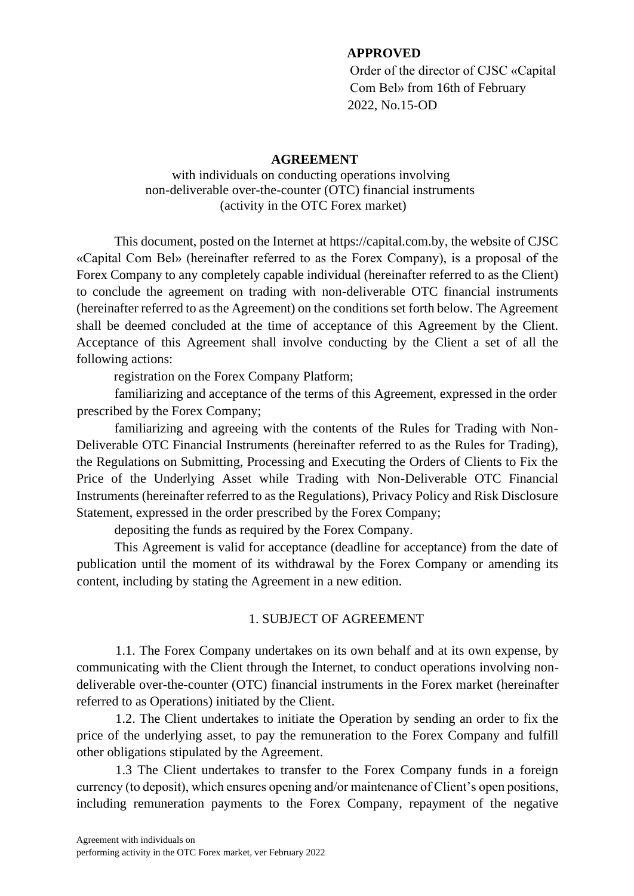#### **APPROVED**

Order of the director of CJSC «Capital Com Bel» from 16th of February 2022, No.15-OD

#### **AGREEMENT**

#### with individuals on conducting operations involving non-deliverable over-the-counter (OTC) financial instruments (activity in the OTC Forex market)

This document, posted on the Internet at https://capital.com.by, the website of CJSC «Capital Com Bel» (hereinafter referred to as the Forex Company), is a proposal of the Forex Company to any completely capable individual (hereinafter referred to as the Client) to conclude the agreement on trading with non-deliverable OTC financial instruments (hereinafter referred to as the Agreement) on the conditions set forth below. The Agreement shall be deemed concluded at the time of acceptance of this Agreement by the Client. Acceptance of this Agreement shall involve conducting by the Client a set of all the following actions:

registration on the Forex Company Platform;

familiarizing and acceptance of the terms of this Agreement, expressed in the order prescribed by the Forex Company;

familiarizing and agreeing with the contents of the Rules for Trading with Non-Deliverable OTC Financial Instruments (hereinafter referred to as the Rules for Trading), the Regulations on Submitting, Processing and Executing the Orders of Clients to Fix the Price of the Underlying Asset while Trading with Non-Deliverable OTC Financial Instruments (hereinafter referred to as the Regulations), Privacy Policy and Risk Disclosure Statement, expressed in the order prescribed by the Forex Company;

depositing the funds as required by the Forex Company.

This Agreement is valid for acceptance (deadline for acceptance) from the date of publication until the moment of its withdrawal by the Forex Company or amending its content, including by stating the Agreement in a new edition.

#### 1. SUBJECT OF AGREEMENT

1.1. The Forex Company undertakes on its own behalf and at its own expense, by communicating with the Client through the Internet, to conduct operations involving nondeliverable over-the-counter (OTC) financial instruments in the Forex market (hereinafter referred to as Operations) initiated by the Client.

1.2. The Client undertakes to initiate the Operation by sending an order to fix the price of the underlying asset, to pay the remuneration to the Forex Company and fulfill other obligations stipulated by the Agreement.

1.3 The Client undertakes to transfer to the Forex Company funds in a foreign currency (to deposit), which ensures opening and/or maintenance of Client's open positions, including remuneration payments to the Forex Company, repayment of the negative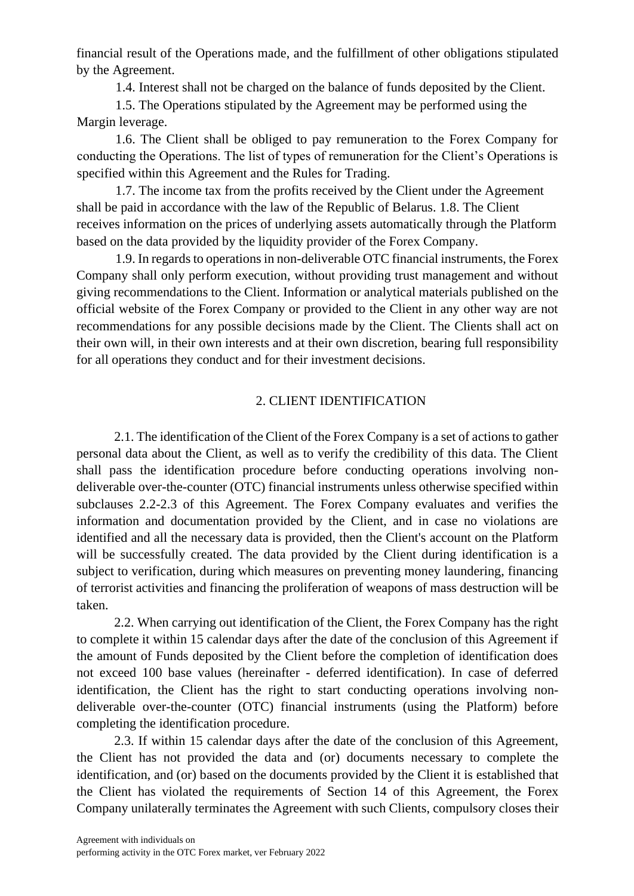financial result of the Operations made, and the fulfillment of other obligations stipulated by the Agreement.

1.4. Interest shall not be charged on the balance of funds deposited by the Client.

1.5. The Operations stipulated by the Agreement may be performed using the Margin leverage.

1.6. The Client shall be obliged to pay remuneration to the Forex Company for conducting the Operations. The list of types of remuneration for the Client's Operations is specified within this Agreement and the Rules for Trading.

1.7. The income tax from the profits received by the Client under the Agreement shall be paid in accordance with the law of the Republic of Belarus. 1.8. The Client receives information on the prices of underlying assets automatically through the Platform based on the data provided by the liquidity provider of the Forex Company.

1.9. In regards to operations in non-deliverable OTC financial instruments, the Forex Company shall only perform execution, without providing trust management and without giving recommendations to the Client. Information or analytical materials published on the official website of the Forex Company or provided to the Client in any other way are not recommendations for any possible decisions made by the Client. The Clients shall act on their own will, in their own interests and at their own discretion, bearing full responsibility for all operations they conduct and for their investment decisions.

## 2. CLIENT IDENTIFICATION

2.1. The identification of the Client of the Forex Company is a set of actions to gather personal data about the Client, as well as to verify the credibility of this data. The Client shall pass the identification procedure before conducting operations involving nondeliverable over-the-counter (OTC) financial instruments unless otherwise specified within subclauses 2.2-2.3 of this Agreement. The Forex Company evaluates and verifies the information and documentation provided by the Client, and in case no violations are identified and all the necessary data is provided, then the Client's account on the Platform will be successfully created. The data provided by the Client during identification is a subject to verification, during which measures on preventing money laundering, financing of terrorist activities and financing the proliferation of weapons of mass destruction will be taken.

2.2. When carrying out identification of the Client, the Forex Company has the right to complete it within 15 calendar days after the date of the conclusion of this Agreement if the amount of Funds deposited by the Client before the completion of identification does not exceed 100 base values (hereinafter - deferred identification). In case of deferred identification, the Client has the right to start conducting operations involving nondeliverable over-the-counter (OTC) financial instruments (using the Platform) before completing the identification procedure.

2.3. If within 15 calendar days after the date of the conclusion of this Agreement, the Client has not provided the data and (or) documents necessary to complete the identification, and (or) based on the documents provided by the Client it is established that the Client has violated the requirements of Section 14 of this Agreement, the Forex Company unilaterally terminates the Agreement with such Clients, compulsory closes their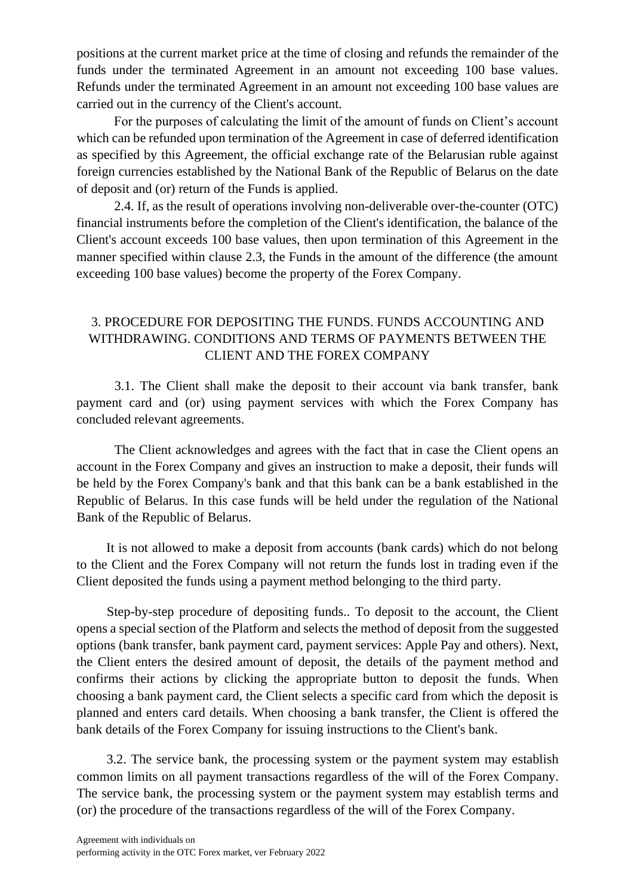positions at the current market price at the time of closing and refunds the remainder of the funds under the terminated Agreement in an amount not exceeding 100 base values. Refunds under the terminated Agreement in an amount not exceeding 100 base values are carried out in the currency of the Client's account.

For the purposes of calculating the limit of the amount of funds on Client's account which can be refunded upon termination of the Agreement in case of deferred identification as specified by this Agreement, the official exchange rate of the Belarusian ruble against foreign currencies established by the National Bank of the Republic of Belarus on the date of deposit and (or) return of the Funds is applied.

2.4. If, as the result of operations involving non-deliverable over-the-counter (OTC) financial instruments before the completion of the Client's identification, the balance of the Client's account exceeds 100 base values, then upon termination of this Agreement in the manner specified within clause 2.3, the Funds in the amount of the difference (the amount exceeding 100 base values) become the property of the Forex Company.

## 3. PROCEDURE FOR DEPOSITING THE FUNDS. FUNDS ACCOUNTING AND WITHDRAWING. CONDITIONS AND TERMS OF PAYMENTS BETWEEN THE CLIENT AND THE FOREX COMPANY

3.1. The Client shall make the deposit to their account via bank transfer, bank payment card and (or) using payment services with which the Forex Company has concluded relevant agreements.

The Client acknowledges and agrees with the fact that in case the Client opens an account in the Forex Company and gives an instruction to make a deposit, their funds will be held by the Forex Company's bank and that this bank can be a bank established in the Republic of Belarus. In this case funds will be held under the regulation of the National Bank of the Republic of Belarus.

It is not allowed to make a deposit from accounts (bank cards) which do not belong to the Client and the Forex Company will not return the funds lost in trading even if the Client deposited the funds using a payment method belonging to the third party.

Step-by-step procedure of depositing funds.. To deposit to the account, the Client opens a special section of the Platform and selects the method of deposit from the suggested options (bank transfer, bank payment card, payment services: Apple Pay and others). Next, the Client enters the desired amount of deposit, the details of the payment method and confirms their actions by clicking the appropriate button to deposit the funds. When choosing a bank payment card, the Client selects a specific card from which the deposit is planned and enters card details. When choosing a bank transfer, the Client is offered the bank details of the Forex Company for issuing instructions to the Client's bank.

3.2. The service bank, the processing system or the payment system may establish common limits on all payment transactions regardless of the will of the Forex Company. The service bank, the processing system or the payment system may establish terms and (or) the procedure of the transactions regardless of the will of the Forex Company.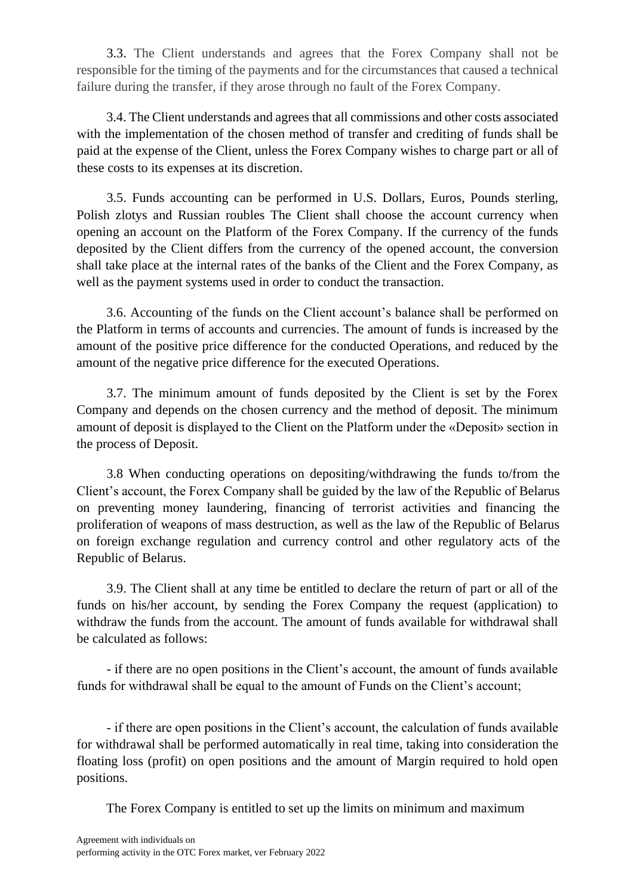3.3. The Client understands and agrees that the Forex Company shall not be responsible for the timing of the payments and for the circumstances that caused a technical failure during the transfer, if they arose through no fault of the Forex Company.

3.4. The Client understands and agrees that all commissions and other costs associated with the implementation of the chosen method of transfer and crediting of funds shall be paid at the expense of the Client, unless the Forex Company wishes to charge part or all of these costs to its expenses at its discretion.

3.5. Funds accounting can be performed in U.S. Dollars, Euros, Pounds sterling, Polish zlotys and Russian roubles The Client shall choose the account currency when opening an account on the Platform of the Forex Company. If the currency of the funds deposited by the Client differs from the currency of the opened account, the conversion shall take place at the internal rates of the banks of the Client and the Forex Company, as well as the payment systems used in order to conduct the transaction.

3.6. Accounting of the funds on the Client account's balance shall be performed on the Platform in terms of accounts and currencies. The amount of funds is increased by the amount of the positive price difference for the conducted Operations, and reduced by the amount of the negative price difference for the executed Operations.

3.7. The minimum amount of funds deposited by the Client is set by the Forex Company and depends on the chosen currency and the method of deposit. The minimum amount of deposit is displayed to the Client on the Platform under the «Deposit» section in the process of Deposit.

3.8 When conducting operations on depositing/withdrawing the funds to/from the Client's account, the Forex Company shall be guided by the law of the Republic of Belarus on preventing money laundering, financing of terrorist activities and financing the proliferation of weapons of mass destruction, as well as the law of the Republic of Belarus on foreign exchange regulation and currency control and other regulatory acts of the Republic of Belarus.

3.9. The Client shall at any time be entitled to declare the return of part or all of the funds on his/her account, by sending the Forex Company the request (application) to withdraw the funds from the account. The amount of funds available for withdrawal shall be calculated as follows:

- if there are no open positions in the Client's account, the amount of funds available funds for withdrawal shall be equal to the amount of Funds on the Client's account;

- if there are open positions in the Client's account, the calculation of funds available for withdrawal shall be performed automatically in real time, taking into consideration the floating loss (profit) on open positions and the amount of Margin required to hold open positions.

The Forex Company is entitled to set up the limits on minimum and maximum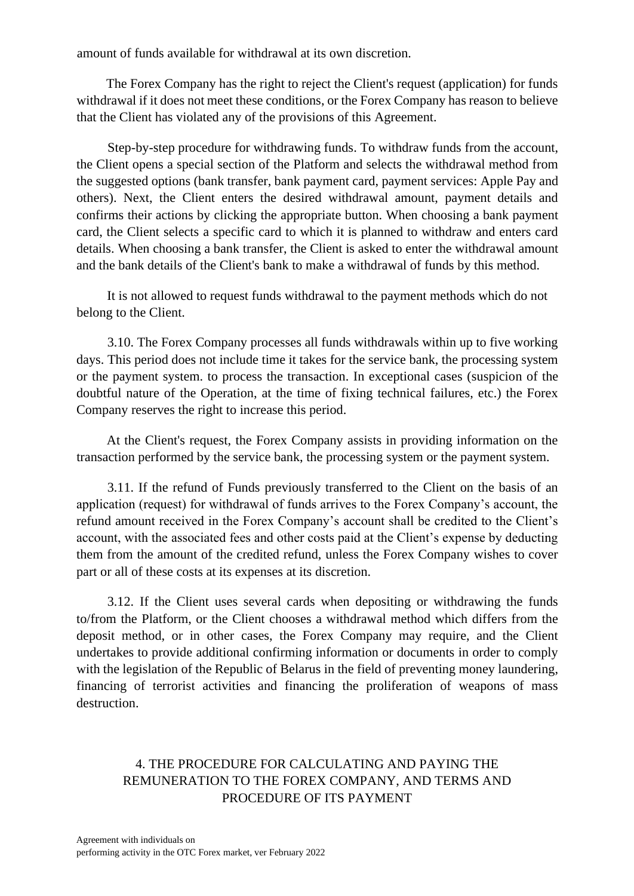amount of funds available for withdrawal at its own discretion.

The Forex Company has the right to reject the Client's request (application) for funds withdrawal if it does not meet these conditions, or the Forex Company has reason to believe that the Client has violated any of the provisions of this Agreement.

Step-by-step procedure for withdrawing funds. To withdraw funds from the account, the Client opens a special section of the Platform and selects the withdrawal method from the suggested options (bank transfer, bank payment card, payment services: Apple Pay and others). Next, the Client enters the desired withdrawal amount, payment details and confirms their actions by clicking the appropriate button. When choosing a bank payment card, the Client selects a specific card to which it is planned to withdraw and enters card details. When choosing a bank transfer, the Client is asked to enter the withdrawal amount and the bank details of the Client's bank to make a withdrawal of funds by this method.

It is not allowed to request funds withdrawal to the payment methods which do not belong to the Client.

3.10. The Forex Company processes all funds withdrawals within up to five working days. This period does not include time it takes for the service bank, the processing system or the payment system. to process the transaction. In exceptional cases (suspicion of the doubtful nature of the Operation, at the time of fixing technical failures, etc.) the Forex Company reserves the right to increase this period.

At the Client's request, the Forex Company assists in providing information on the transaction performed by the service bank, the processing system or the payment system.

3.11. If the refund of Funds previously transferred to the Client on the basis of an application (request) for withdrawal of funds arrives to the Forex Company's account, the refund amount received in the Forex Company's account shall be credited to the Client's account, with the associated fees and other costs paid at the Client's expense by deducting them from the amount of the credited refund, unless the Forex Company wishes to cover part or all of these costs at its expenses at its discretion.

3.12. If the Client uses several cards when depositing or withdrawing the funds to/from the Platform, or the Client chooses a withdrawal method which differs from the deposit method, or in other cases, the Forex Company may require, and the Client undertakes to provide additional confirming information or documents in order to comply with the legislation of the Republic of Belarus in the field of preventing money laundering, financing of terrorist activities and financing the proliferation of weapons of mass destruction.

# 4. THE PROCEDURE FOR CALCULATING AND PAYING THE REMUNERATION TO THE FOREX COMPANY, AND TERMS AND PROCEDURE OF ITS PAYMENT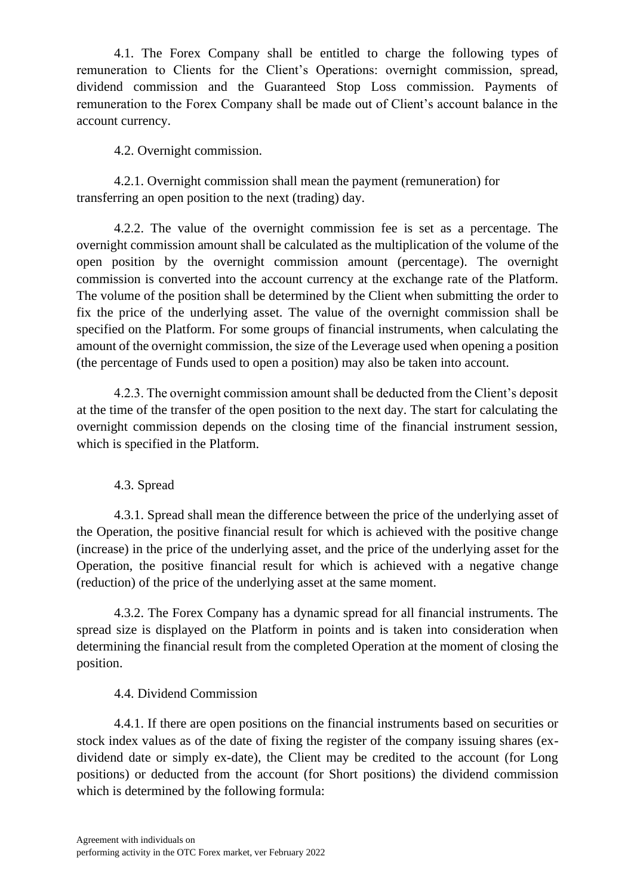4.1. The Forex Company shall be entitled to charge the following types of remuneration to Clients for the Client's Operations: overnight commission, spread, dividend commission and the Guaranteed Stop Loss commission. Payments of remuneration to the Forex Company shall be made out of Client's account balance in the account currency.

4.2. Overnight commission.

4.2.1. Overnight commission shall mean the payment (remuneration) for transferring an open position to the next (trading) day.

4.2.2. The value of the overnight commission fee is set as a percentage. The overnight commission amount shall be calculated as the multiplication of the volume of the open position by the overnight commission amount (percentage). The overnight commission is converted into the account currency at the exchange rate of the Platform. The volume of the position shall be determined by the Client when submitting the order to fix the price of the underlying asset. The value of the overnight commission shall be specified on the Platform. For some groups of financial instruments, when calculating the amount of the overnight commission, the size of the Leverage used when opening a position (the percentage of Funds used to open a position) may also be taken into account.

4.2.3. The overnight commission amount shall be deducted from the Client's deposit at the time of the transfer of the open position to the next day. The start for calculating the overnight commission depends on the closing time of the financial instrument session, which is specified in the Platform.

## 4.3. Spread

4.3.1. Spread shall mean the difference between the price of the underlying asset of the Operation, the positive financial result for which is achieved with the positive change (increase) in the price of the underlying asset, and the price of the underlying asset for the Operation, the positive financial result for which is achieved with a negative change (reduction) of the price of the underlying asset at the same moment.

4.3.2. The Forex Company has a dynamic spread for all financial instruments. The spread size is displayed on the Platform in points and is taken into consideration when determining the financial result from the completed Operation at the moment of closing the position.

## 4.4. Dividend Commission

4.4.1. If there are open positions on the financial instruments based on securities or stock index values as of the date of fixing the register of the company issuing shares (exdividend date or simply ex-date), the Client may be credited to the account (for Long positions) or deducted from the account (for Short positions) the dividend commission which is determined by the following formula: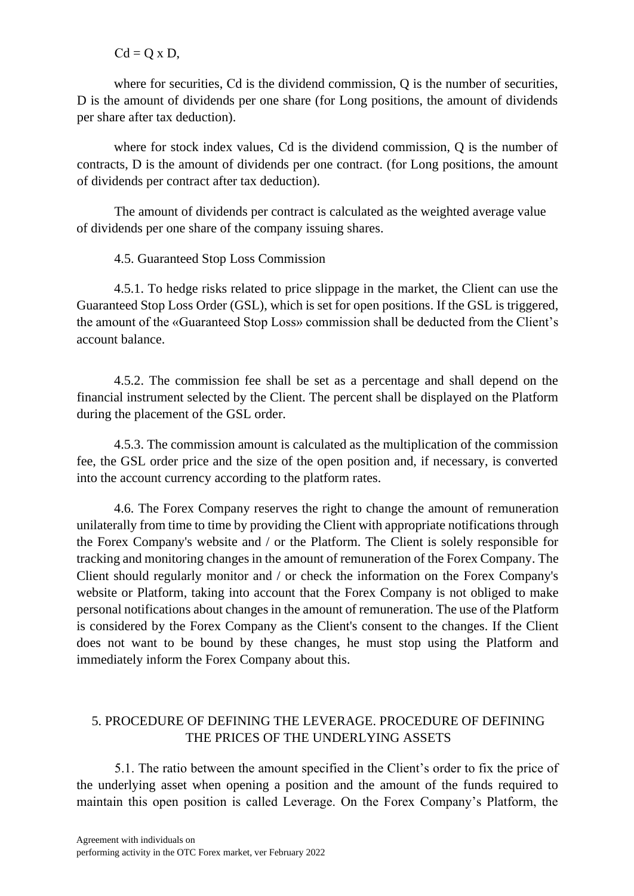$Cd = Q \times D$ ,

where for securities, Cd is the dividend commission, Q is the number of securities, D is the amount of dividends per one share (for Long positions, the amount of dividends per share after tax deduction).

where for stock index values, Сd is the dividend commission, Q is the number of contracts, D is the amount of dividends per one contract. (for Long positions, the amount of dividends per contract after tax deduction).

The amount of dividends per contract is calculated as the weighted average value of dividends per one share of the company issuing shares.

4.5. Guaranteed Stop Loss Commission

4.5.1. To hedge risks related to price slippage in the market, the Client can use the Guaranteed Stop Loss Order (GSL), which is set for open positions. If the GSL is triggered, the amount of the «Guaranteed Stop Loss» commission shall be deducted from the Client's account balance.

4.5.2. The commission fee shall be set as a percentage and shall depend on the financial instrument selected by the Client. The percent shall be displayed on the Platform during the placement of the GSL order.

4.5.3. The commission amount is calculated as the multiplication of the commission fee, the GSL order price and the size of the open position and, if necessary, is converted into the account currency according to the platform rates.

4.6. The Forex Company reserves the right to change the amount of remuneration unilaterally from time to time by providing the Client with appropriate notifications through the Forex Company's website and / or the Platform. The Client is solely responsible for tracking and monitoring changes in the amount of remuneration of the Forex Company. The Client should regularly monitor and / or check the information on the Forex Company's website or Platform, taking into account that the Forex Company is not obliged to make personal notifications about changes in the amount of remuneration. The use of the Platform is considered by the Forex Company as the Client's consent to the changes. If the Client does not want to be bound by these changes, he must stop using the Platform and immediately inform the Forex Company about this.

# 5. PROCEDURE OF DEFINING THE LEVERAGE. PROCEDURE OF DEFINING THE PRICES OF THE UNDERLYING ASSETS

5.1. The ratio between the amount specified in the Client's order to fix the price of the underlying asset when opening a position and the amount of the funds required to maintain this open position is called Leverage. On the Forex Company's Platform, the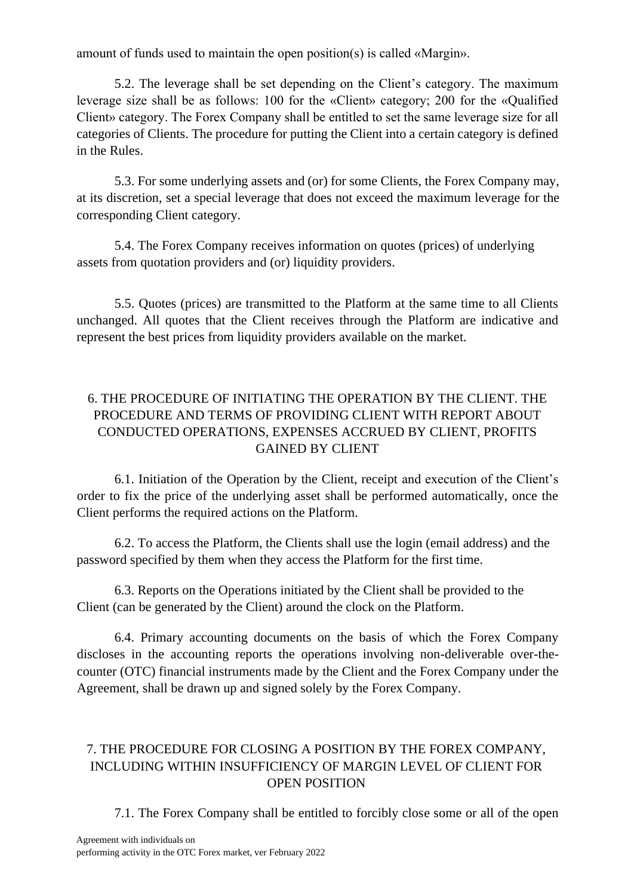amount of funds used to maintain the open position(s) is called «Margin».

5.2. The leverage shall be set depending on the Client's category. The maximum leverage size shall be as follows: 100 for the «Client» category; 200 for the «Qualified Client» category. The Forex Company shall be entitled to set the same leverage size for all categories of Clients. The procedure for putting the Client into a certain category is defined in the Rules.

5.3. For some underlying assets and (or) for some Clients, the Forex Company may, at its discretion, set a special leverage that does not exceed the maximum leverage for the corresponding Client category.

5.4. The Forex Company receives information on quotes (prices) of underlying assets from quotation providers and (or) liquidity providers.

5.5. Quotes (prices) are transmitted to the Platform at the same time to all Clients unchanged. All quotes that the Client receives through the Platform are indicative and represent the best prices from liquidity providers available on the market.

# 6. THE PROCEDURE OF INITIATING THE OPERATION BY THE CLIENT. THE PROCEDURE AND TERMS OF PROVIDING CLIENT WITH REPORT ABOUT CONDUCTED OPERATIONS, EXPENSES ACCRUED BY CLIENT, PROFITS GAINED BY CLIENT

6.1. Initiation of the Operation by the Client, receipt and execution of the Client's order to fix the price of the underlying asset shall be performed automatically, once the Client performs the required actions on the Platform.

6.2. To access the Platform, the Clients shall use the login (email address) and the password specified by them when they access the Platform for the first time.

6.3. Reports on the Operations initiated by the Client shall be provided to the Client (can be generated by the Client) around the clock on the Platform.

6.4. Primary accounting documents on the basis of which the Forex Company discloses in the accounting reports the operations involving non-deliverable over-thecounter (OTC) financial instruments made by the Client and the Forex Company under the Agreement, shall be drawn up and signed solely by the Forex Company.

## 7. THE PROCEDURE FOR CLOSING A POSITION BY THE FOREX COMPANY, INCLUDING WITHIN INSUFFICIENCY OF MARGIN LEVEL OF CLIENT FOR OPEN POSITION

7.1. The Forex Company shall be entitled to forcibly close some or all of the open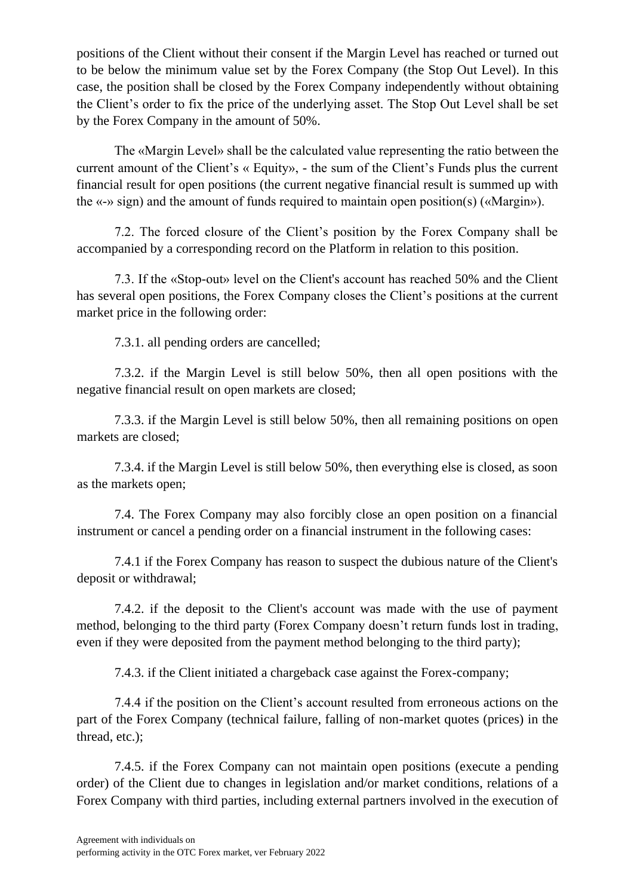positions of the Client without their consent if the Margin Level has reached or turned out to be below the minimum value set by the Forex Company (the Stop Out Level). In this case, the position shall be closed by the Forex Company independently without obtaining the Client's order to fix the price of the underlying asset. The Stop Out Level shall be set by the Forex Company in the amount of 50%.

The «Margin Level» shall be the calculated value representing the ratio between the current amount of the Client's « Equity», - the sum of the Client's Funds plus the current financial result for open positions (the current negative financial result is summed up with the «-» sign) and the amount of funds required to maintain open position(s) («Margin»).

7.2. The forced closure of the Client's position by the Forex Company shall be accompanied by a corresponding record on the Platform in relation to this position.

7.3. If the «Stop-out» level on the Client's account has reached 50% and the Client has several open positions, the Forex Сompany closes the Client's positions at the current market price in the following order:

7.3.1. all pending orders are cancelled;

7.3.2. if the Margin Level is still below 50%, then all open positions with the negative financial result on open markets are closed;

7.3.3. if the Margin Level is still below 50%, then all remaining positions on open markets are closed;

7.3.4. if the Margin Level is still below 50%, then everything else is closed, as soon as the markets open;

7.4. The Forex Company may also forcibly close an open position on a financial instrument or cancel a pending order on a financial instrument in the following cases:

7.4.1 if the Forex Company has reason to suspect the dubious nature of the Client's deposit or withdrawal;

7.4.2. if the deposit to the Client's account was made with the use of payment method, belonging to the third party (Forex Company doesn't return funds lost in trading, even if they were deposited from the payment method belonging to the third party);

7.4.3. if the Client initiated a chargeback case against the Forex-company;

7.4.4 if the position on the Client's account resulted from erroneous actions on the part of the Forex Company (technical failure, falling of non-market quotes (prices) in the thread, etc.);

7.4.5. if the Forex Company can not maintain open positions (execute a pending order) of the Client due to changes in legislation and/or market conditions, relations of a Forex Company with third parties, including external partners involved in the execution of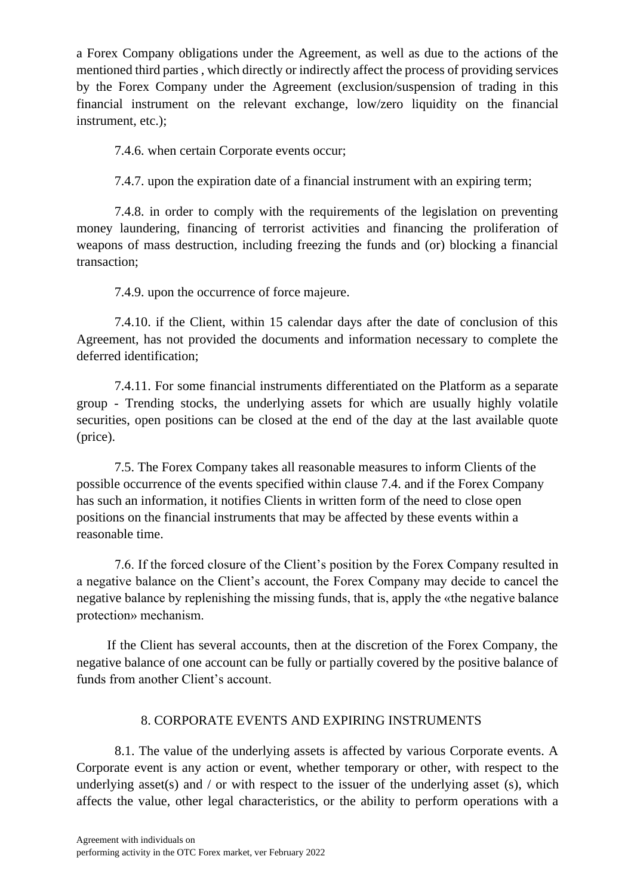a Forex Company obligations under the Agreement, as well as due to the actions of the mentioned third parties , which directly or indirectly affect the process of providing services by the Forex Company under the Agreement (exclusion/suspension of trading in this financial instrument on the relevant exchange, low/zero liquidity on the financial instrument, etc.);

7.4.6. when certain Corporate events occur;

7.4.7. upon the expiration date of a financial instrument with an expiring term;

7.4.8. in order to comply with the requirements of the legislation on preventing money laundering, financing of terrorist activities and financing the proliferation of weapons of mass destruction, including freezing the funds and (or) blocking a financial transaction;

7.4.9. upon the occurrence of force majeure.

7.4.10. if the Client, within 15 calendar days after the date of conclusion of this Agreement, has not provided the documents and information necessary to complete the deferred identification;

7.4.11. For some financial instruments differentiated on the Platform as a separate group - Trending stocks, the underlying assets for which are usually highly volatile securities, open positions can be closed at the end of the day at the last available quote (price).

7.5. The Forex Company takes all reasonable measures to inform Clients of the possible occurrence of the events specified within clause 7.4. and if the Forex Company has such an information, it notifies Clients in written form of the need to close open positions on the financial instruments that may be affected by these events within a reasonable time.

7.6. If the forced closure of the Client's position by the Forex Company resulted in a negative balance on the Client's account, the Forex Company may decide to cancel the negative balance by replenishing the missing funds, that is, apply the «the negative balance protection» mechanism.

If the Client has several accounts, then at the discretion of the Forex Company, the negative balance of one account can be fully or partially covered by the positive balance of funds from another Client's account.

# 8. CORPORATE EVENTS AND EXPIRING INSTRUMENTS

8.1. The value of the underlying assets is affected by various Corporate events. A Corporate event is any action or event, whether temporary or other, with respect to the underlying asset(s) and  $\ell$  or with respect to the issuer of the underlying asset (s), which affects the value, other legal characteristics, or the ability to perform operations with a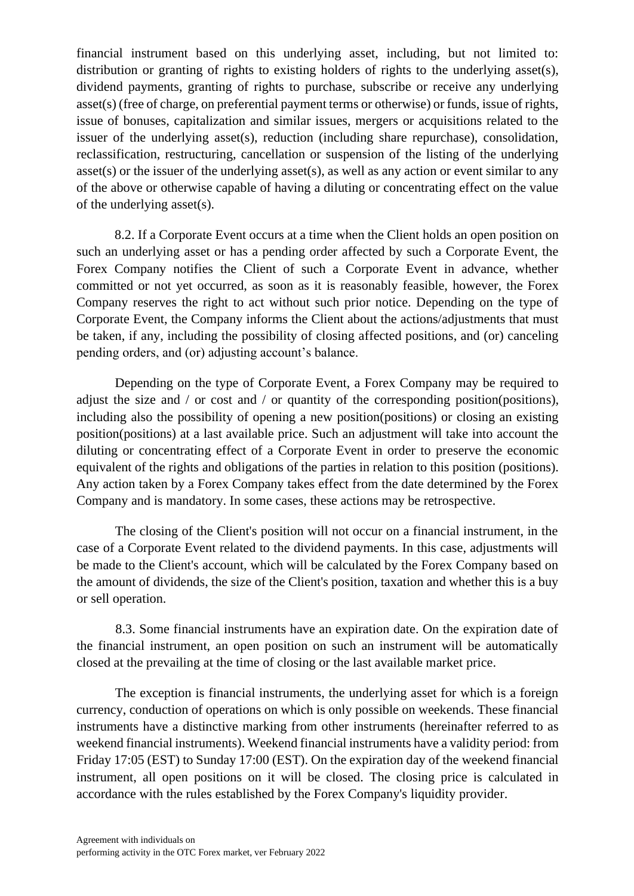financial instrument based on this underlying asset, including, but not limited to: distribution or granting of rights to existing holders of rights to the underlying asset(s), dividend payments, granting of rights to purchase, subscribe or receive any underlying asset(s) (free of charge, on preferential payment terms or otherwise) or funds, issue of rights, issue of bonuses, capitalization and similar issues, mergers or acquisitions related to the issuer of the underlying asset(s), reduction (including share repurchase), consolidation, reclassification, restructuring, cancellation or suspension of the listing of the underlying asset(s) or the issuer of the underlying asset(s), as well as any action or event similar to any of the above or otherwise capable of having a diluting or concentrating effect on the value of the underlying asset(s).

8.2. If a Corporate Event occurs at a time when the Client holds an open position on such an underlying asset or has a pending order affected by such a Corporate Event, the Forex Company notifies the Client of such a Corporate Event in advance, whether committed or not yet occurred, as soon as it is reasonably feasible, however, the Forex Company reserves the right to act without such prior notice. Depending on the type of Corporate Event, the Company informs the Client about the actions/adjustments that must be taken, if any, including the possibility of closing affected positions, and (or) canceling pending orders, and (or) adjusting account's balance.

Depending on the type of Corporate Event, a Forex Company may be required to adjust the size and / or cost and / or quantity of the corresponding position(positions), including also the possibility of opening a new position(positions) or closing an existing position(positions) at a last available price. Such an adjustment will take into account the diluting or concentrating effect of a Corporate Event in order to preserve the economic equivalent of the rights and obligations of the parties in relation to this position (positions). Any action taken by a Forex Company takes effect from the date determined by the Forex Company and is mandatory. In some cases, these actions may be retrospective.

The closing of the Client's position will not occur on a financial instrument, in the case of a Corporate Event related to the dividend payments. In this case, adjustments will be made to the Client's account, which will be calculated by the Forex Company based on the amount of dividends, the size of the Client's position, taxation and whether this is a buy or sell operation.

8.3. Some financial instruments have an expiration date. On the expiration date of the financial instrument, an open position on such an instrument will be automatically closed at the prevailing at the time of closing or the last available market price.

The exception is financial instruments, the underlying asset for which is a foreign currency, conduction of operations on which is only possible on weekends. These financial instruments have a distinctive marking from other instruments (hereinafter referred to as weekend financial instruments). Weekend financial instruments have a validity period: from Friday 17:05 (EST) to Sunday 17:00 (EST). On the expiration day of the weekend financial instrument, all open positions on it will be closed. The closing price is calculated in accordance with the rules established by the Forex Company's liquidity provider.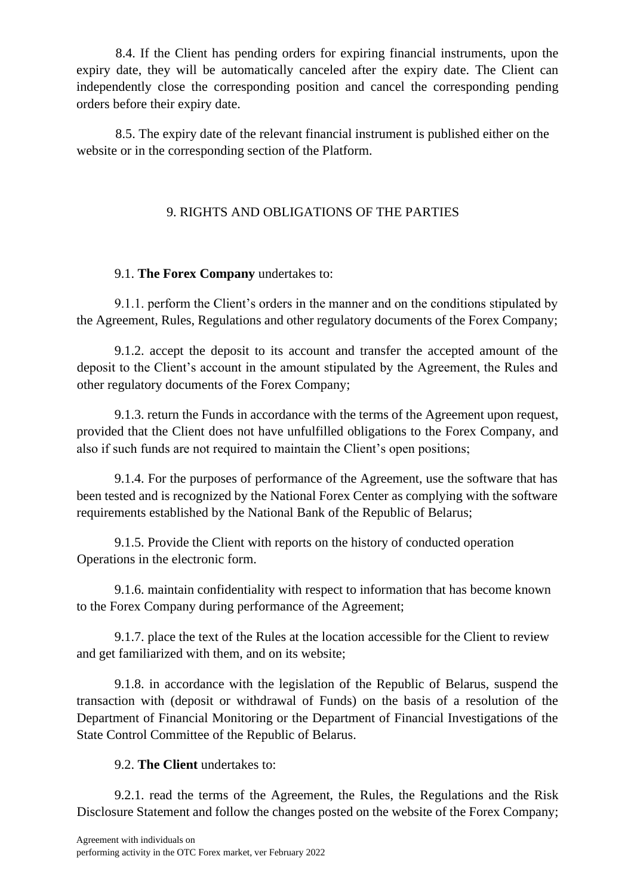8.4. If the Client has pending orders for expiring financial instruments, upon the expiry date, they will be automatically canceled after the expiry date. The Client can independently close the corresponding position and cancel the corresponding pending orders before their expiry date.

8.5. The expiry date of the relevant financial instrument is published either on the website or in the corresponding section of the Platform.

## 9. RIGHTS AND OBLIGATIONS OF THE PARTIES

## 9.1. **The Forex Company** undertakes to:

9.1.1. perform the Client's orders in the manner and on the conditions stipulated by the Agreement, Rules, Regulations and other regulatory documents of the Forex Company;

9.1.2. accept the deposit to its account and transfer the accepted amount of the deposit to the Client's account in the amount stipulated by the Agreement, the Rules and other regulatory documents of the Forex Company;

9.1.3. return the Funds in accordance with the terms of the Agreement upon request, provided that the Client does not have unfulfilled obligations to the Forex Company, and also if such funds are not required to maintain the Client's open positions;

9.1.4. For the purposes of performance of the Agreement, use the software that has been tested and is recognized by the National Forex Center as complying with the software requirements established by the National Bank of the Republic of Belarus;

9.1.5. Provide the Client with reports on the history of conducted operation Operations in the electronic form.

9.1.6. maintain confidentiality with respect to information that has become known to the Forex Company during performance of the Agreement;

9.1.7. place the text of the Rules at the location accessible for the Client to review and get familiarized with them, and on its website;

9.1.8. in accordance with the legislation of the Republic of Belarus, suspend the transaction with (deposit or withdrawal of Funds) on the basis of a resolution of the Department of Financial Monitoring or the Department of Financial Investigations of the State Control Committee of the Republic of Belarus.

## 9.2. **The Client** undertakes to:

9.2.1. read the terms of the Agreement, the Rules, the Regulations and the Risk Disclosure Statement and follow the changes posted on the website of the Forex Company;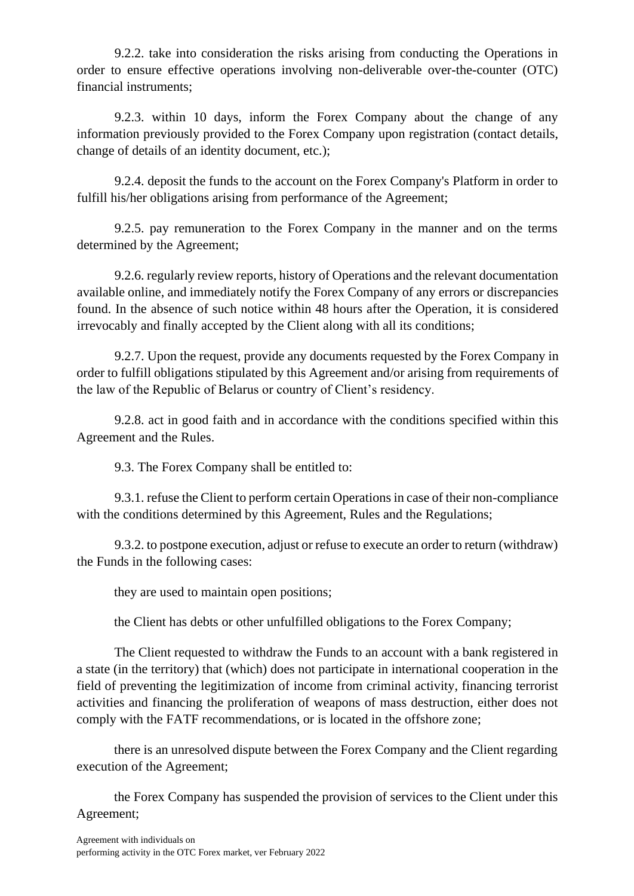9.2.2. take into consideration the risks arising from conducting the Operations in order to ensure effective operations involving non-deliverable over-the-counter (OTC) financial instruments;

9.2.3. within 10 days, inform the Forex Company about the change of any information previously provided to the Forex Company upon registration (contact details, change of details of an identity document, etc.);

9.2.4. deposit the funds to the account on the Forex Company's Platform in order to fulfill his/her obligations arising from performance of the Agreement;

9.2.5. pay remuneration to the Forex Company in the manner and on the terms determined by the Agreement;

9.2.6. regularly review reports, history of Operations and the relevant documentation available online, and immediately notify the Forex Company of any errors or discrepancies found. In the absence of such notice within 48 hours after the Operation, it is considered irrevocably and finally accepted by the Client along with all its conditions;

9.2.7. Upon the request, provide any documents requested by the Forex Company in order to fulfill obligations stipulated by this Agreement and/or arising from requirements of the law of the Republic of Belarus or country of Client's residency.

9.2.8. act in good faith and in accordance with the conditions specified within this Agreement and the Rules.

9.3. The Forex Company shall be entitled to:

9.3.1. refuse the Client to perform certain Operations in case of their non-compliance with the conditions determined by this Agreement, Rules and the Regulations;

9.3.2. to postpone execution, adjust or refuse to execute an order to return (withdraw) the Funds in the following cases:

they are used to maintain open positions;

the Client has debts or other unfulfilled obligations to the Forex Company;

The Client requested to withdraw the Funds to an account with a bank registered in a state (in the territory) that (which) does not participate in international cooperation in the field of preventing the legitimization of income from criminal activity, financing terrorist activities and financing the proliferation of weapons of mass destruction, either does not comply with the FATF recommendations, or is located in the offshore zone;

there is an unresolved dispute between the Forex Company and the Client regarding execution of the Agreement;

the Forex Company has suspended the provision of services to the Client under this Agreement;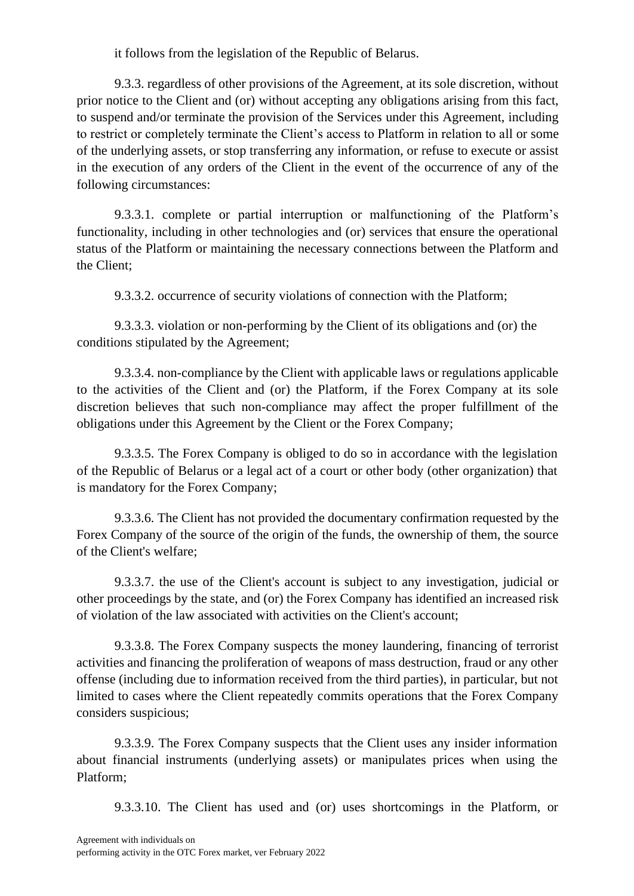it follows from the legislation of the Republic of Belarus.

9.3.3. regardless of other provisions of the Agreement, at its sole discretion, without prior notice to the Client and (or) without accepting any obligations arising from this fact, to suspend and/or terminate the provision of the Services under this Agreement, including to restrict or completely terminate the Client's access to Platform in relation to all or some of the underlying assets, or stop transferring any information, or refuse to execute or assist in the execution of any orders of the Client in the event of the occurrence of any of the following circumstances:

9.3.3.1. complete or partial interruption or malfunctioning of the Platform's functionality, including in other technologies and (or) services that ensure the operational status of the Platform or maintaining the necessary connections between the Platform and the Client;

9.3.3.2. occurrence of security violations of connection with the Platform;

9.3.3.3. violation or non-performing by the Client of its obligations and (or) the conditions stipulated by the Agreement;

9.3.3.4. non-compliance by the Client with applicable laws or regulations applicable to the activities of the Client and (or) the Platform, if the Forex Company at its sole discretion believes that such non-compliance may affect the proper fulfillment of the obligations under this Agreement by the Client or the Forex Company;

9.3.3.5. The Forex Company is obliged to do so in accordance with the legislation of the Republic of Belarus or a legal act of a court or other body (other organization) that is mandatory for the Forex Company;

9.3.3.6. The Client has not provided the documentary confirmation requested by the Forex Company of the source of the origin of the funds, the ownership of them, the source of the Client's welfare;

9.3.3.7. the use of the Client's account is subject to any investigation, judicial or other proceedings by the state, and (or) the Forex Company has identified an increased risk of violation of the law associated with activities on the Client's account;

9.3.3.8. The Forex Company suspects the money laundering, financing of terrorist activities and financing the proliferation of weapons of mass destruction, fraud or any other offense (including due to information received from the third parties), in particular, but not limited to cases where the Client repeatedly commits operations that the Forex Company considers suspicious;

9.3.3.9. The Forex Company suspects that the Client uses any insider information about financial instruments (underlying assets) or manipulates prices when using the Platform;

9.3.3.10. The Client has used and (or) uses shortcomings in the Platform, or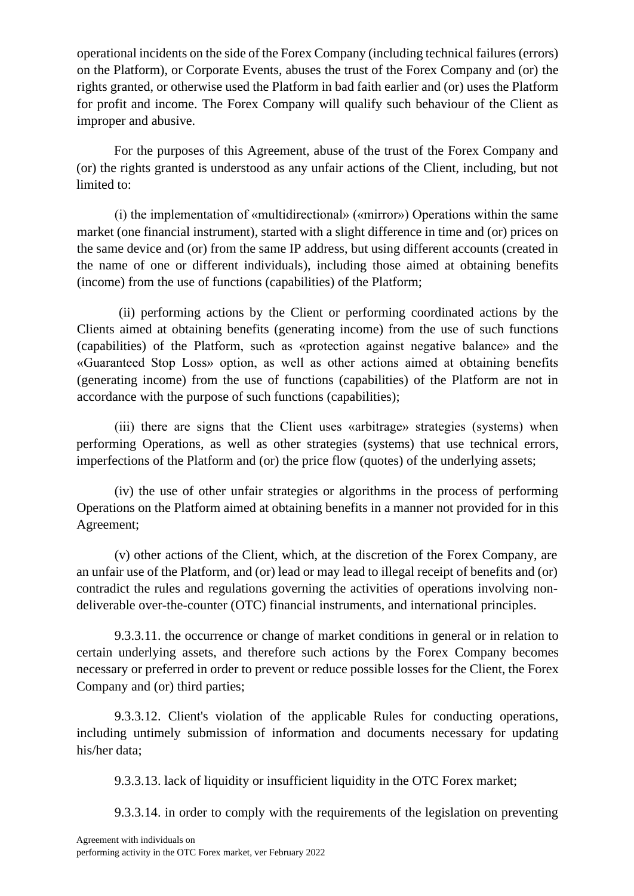operational incidents on the side of the Forex Company (including technical failures (errors) on the Platform), or Corporate Events, abuses the trust of the Forex Company and (or) the rights granted, or otherwise used the Platform in bad faith earlier and (or) uses the Platform for profit and income. The Forex Company will qualify such behaviour of the Client as improper and abusive.

For the purposes of this Agreement, abuse of the trust of the Forex Company and (or) the rights granted is understood as any unfair actions of the Client, including, but not limited to:

(i) the implementation of «multidirectional» («mirror») Operations within the same market (one financial instrument), started with a slight difference in time and (or) prices on the same device and (or) from the same IP address, but using different accounts (created in the name of one or different individuals), including those aimed at obtaining benefits (income) from the use of functions (capabilities) of the Platform;

(ii) performing actions by the Client or performing coordinated actions by the Clients aimed at obtaining benefits (generating income) from the use of such functions (capabilities) of the Platform, such as «protection against negative balance» and the «Guaranteed Stop Loss» option, as well as other actions aimed at obtaining benefits (generating income) from the use of functions (capabilities) of the Platform are not in accordance with the purpose of such functions (capabilities);

(iii) there are signs that the Client uses «arbitrage» strategies (systems) when performing Operations, as well as other strategies (systems) that use technical errors, imperfections of the Platform and (or) the price flow (quotes) of the underlying assets;

(iv) the use of other unfair strategies or algorithms in the process of performing Operations on the Platform aimed at obtaining benefits in a manner not provided for in this Agreement;

(v) other actions of the Client, which, at the discretion of the Forex Company, are an unfair use of the Platform, and (or) lead or may lead to illegal receipt of benefits and (or) contradict the rules and regulations governing the activities of operations involving nondeliverable over-the-counter (OTC) financial instruments, and international principles.

9.3.3.11. the occurrence or change of market conditions in general or in relation to certain underlying assets, and therefore such actions by the Forex Company becomes necessary or preferred in order to prevent or reduce possible losses for the Client, the Forex Company and (or) third parties;

9.3.3.12. Client's violation of the applicable Rules for conducting operations, including untimely submission of information and documents necessary for updating his/her data;

9.3.3.13. lack of liquidity or insufficient liquidity in the OTC Forex market;

9.3.3.14. in order to comply with the requirements of the legislation on preventing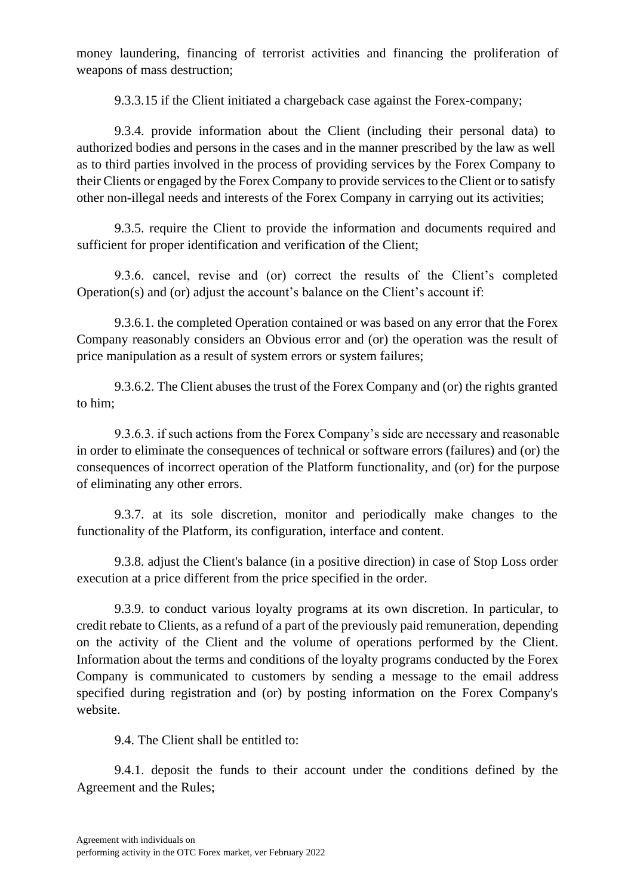money laundering, financing of terrorist activities and financing the proliferation of weapons of mass destruction;

9.3.3.15 if the Client initiated a chargeback case against the Forex-company;

9.3.4. provide information about the Client (including their personal data) to authorized bodies and persons in the cases and in the manner prescribed by the law as well as to third parties involved in the process of providing services by the Forex Company to their Clients or engaged by the Forex Company to provide services to the Client or to satisfy other non-illegal needs and interests of the Forex Company in carrying out its activities;

9.3.5. require the Client to provide the information and documents required and sufficient for proper identification and verification of the Client;

9.3.6. cancel, revise and (or) correct the results of the Client's completed Operation(s) and (or) adjust the account's balance on the Client's account if:

9.3.6.1. the completed Operation contained or was based on any error that the Forex Company reasonably considers an Obvious error and (or) the operation was the result of price manipulation as a result of system errors or system failures;

9.3.6.2. The Client abuses the trust of the Forex Company and (or) the rights granted to him;

9.3.6.3. if such actions from the Forex Company's side are necessary and reasonable in order to eliminate the consequences of technical or software errors (failures) and (or) the consequences of incorrect operation of the Platform functionality, and (or) for the purpose of eliminating any other errors.

9.3.7. at its sole discretion, monitor and periodically make changes to the functionality of the Platform, its configuration, interface and content.

9.3.8. adjust the Сlient's balance (in a positive direction) in case of Stop Loss order execution at a price different from the price specified in the order.

9.3.9. to conduct various loyalty programs at its own discretion. In particular, to credit rebate to Clients, as a refund of a part of the previously paid remuneration, depending on the activity of the Client and the volume of operations performed by the Client. Information about the terms and conditions of the loyalty programs conducted by the Forex Company is communicated to customers by sending a message to the email address specified during registration and (or) by posting information on the Forex Company's website.

9.4. The Client shall be entitled to:

9.4.1. deposit the funds to their account under the conditions defined by the Agreement and the Rules;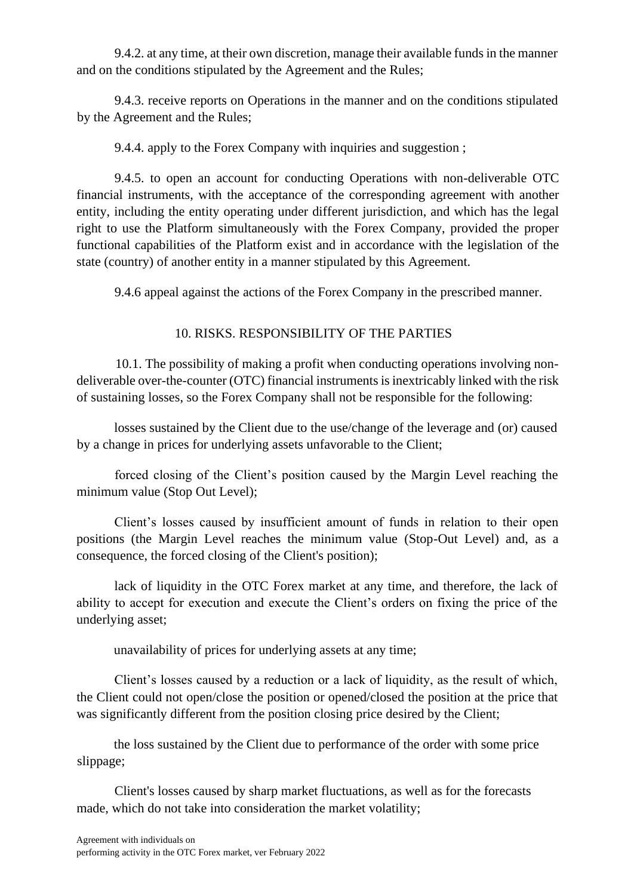9.4.2. at any time, at their own discretion, manage their available funds in the manner and on the conditions stipulated by the Agreement and the Rules;

9.4.3. receive reports on Operations in the manner and on the conditions stipulated by the Agreement and the Rules;

9.4.4. apply to the Forex Company with inquiries and suggestion ;

9.4.5. to open an account for conducting Operations with non-deliverable OTC financial instruments, with the acceptance of the corresponding agreement with another entity, including the entity operating under different jurisdiction, and which has the legal right to use the Platform simultaneously with the Forex Company, provided the proper functional capabilities of the Platform exist and in accordance with the legislation of the state (country) of another entity in a manner stipulated by this Agreement.

9.4.6 appeal against the actions of the Forex Company in the prescribed manner.

# 10. RISKS. RESPONSIBILITY OF THE PARTIES

10.1. The possibility of making a profit when conducting operations involving nondeliverable over-the-counter (OTC) financial instruments is inextricably linked with the risk of sustaining losses, so the Forex Company shall not be responsible for the following:

losses sustained by the Client due to the use/change of the leverage and (or) caused by a change in prices for underlying assets unfavorable to the Client;

forced closing of the Client's position caused by the Margin Level reaching the minimum value (Stop Out Level);

Client's losses caused by insufficient amount of funds in relation to their open positions (the Margin Level reaches the minimum value (Stop-Out Level) and, as a consequence, the forced closing of the Client's position);

lack of liquidity in the OTC Forex market at any time, and therefore, the lack of ability to accept for execution and execute the Client's orders on fixing the price of the underlying asset;

unavailability of prices for underlying assets at any time;

Client's losses caused by a reduction or a lack of liquidity, as the result of which, the Client could not open/close the position or opened/closed the position at the price that was significantly different from the position closing price desired by the Client;

the loss sustained by the Client due to performance of the order with some price slippage;

Client's losses caused by sharp market fluctuations, as well as for the forecasts made, which do not take into consideration the market volatility;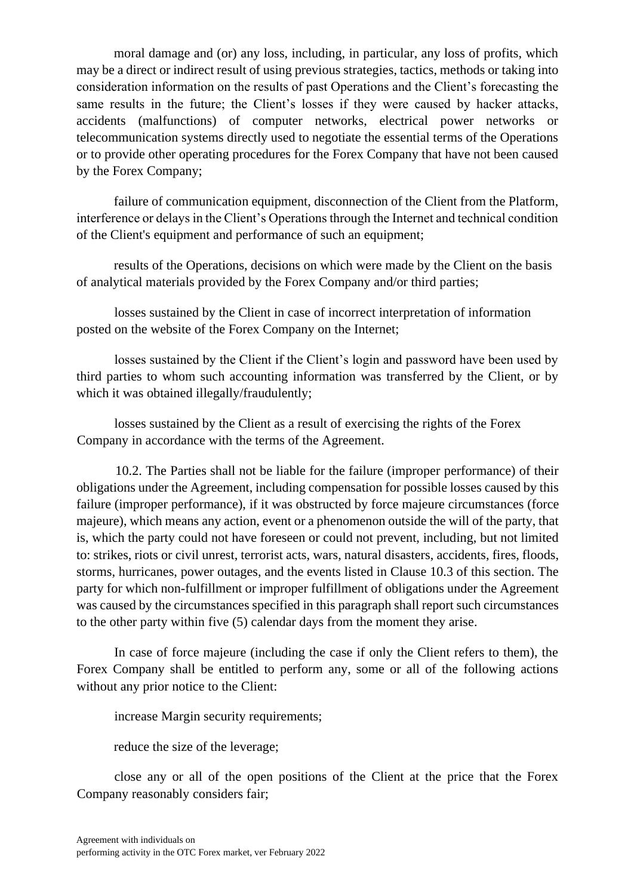moral damage and (or) any loss, including, in particular, any loss of profits, which may be a direct or indirect result of using previous strategies, tactics, methods or taking into consideration information on the results of past Operations and the Client's forecasting the same results in the future; the Client's losses if they were caused by hacker attacks, accidents (malfunctions) of computer networks, electrical power networks or telecommunication systems directly used to negotiate the essential terms of the Operations or to provide other operating procedures for the Forex Company that have not been caused by the Forex Company;

failure of communication equipment, disconnection of the Client from the Platform, interference or delays in the Client's Operations through the Internet and technical condition of the Client's equipment and performance of such an equipment;

results of the Operations, decisions on which were made by the Client on the basis of analytical materials provided by the Forex Company and/or third parties;

losses sustained by the Client in case of incorrect interpretation of information posted on the website of the Forex Company on the Internet;

losses sustained by the Client if the Client's login and password have been used by third parties to whom such accounting information was transferred by the Client, or by which it was obtained illegally/fraudulently;

losses sustained by the Client as a result of exercising the rights of the Forex Company in accordance with the terms of the Agreement.

10.2. The Parties shall not be liable for the failure (improper performance) of their obligations under the Agreement, including compensation for possible losses caused by this failure (improper performance), if it was obstructed by force majeure circumstances (force majeure), which means any action, event or a phenomenon outside the will of the party, that is, which the party could not have foreseen or could not prevent, including, but not limited to: strikes, riots or civil unrest, terrorist acts, wars, natural disasters, accidents, fires, floods, storms, hurricanes, power outages, and the events listed in Clause 10.3 of this section. The party for which non-fulfillment or improper fulfillment of obligations under the Agreement was caused by the circumstances specified in this paragraph shall report such circumstances to the other party within five (5) calendar days from the moment they arise.

In case of force majeure (including the case if only the Client refers to them), the Forex Company shall be entitled to perform any, some or all of the following actions without any prior notice to the Client:

increase Margin security requirements;

reduce the size of the leverage;

close any or all of the open positions of the Client at the price that the Forex Company reasonably considers fair;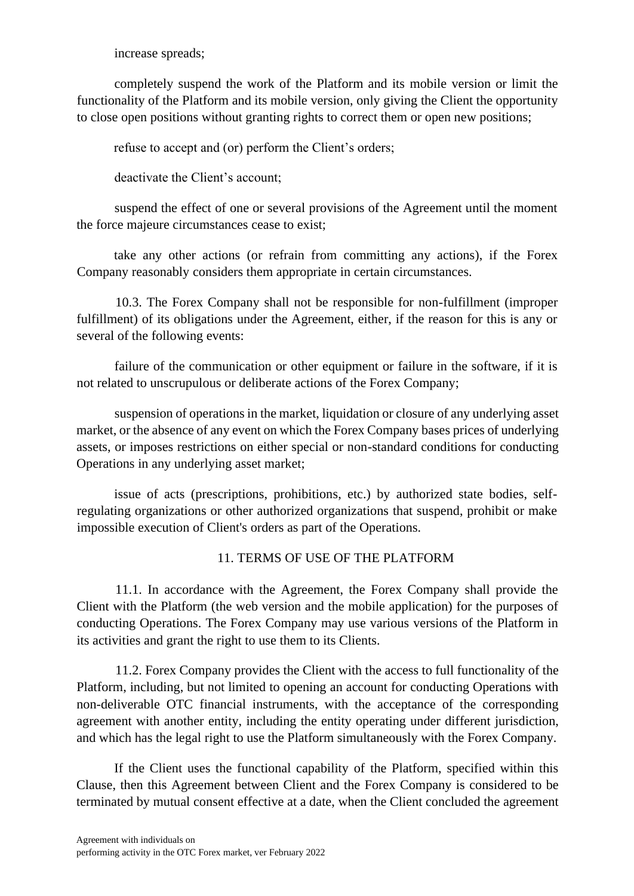increase spreads;

completely suspend the work of the Platform and its mobile version or limit the functionality of the Platform and its mobile version, only giving the Client the opportunity to close open positions without granting rights to correct them or open new positions;

refuse to accept and (or) perform the Client's orders;

deactivate the Client's account;

suspend the effect of one or several provisions of the Agreement until the moment the force majeure circumstances cease to exist;

take any other actions (or refrain from committing any actions), if the Forex Company reasonably considers them appropriate in certain circumstances.

10.3. The Forex Company shall not be responsible for non-fulfillment (improper fulfillment) of its obligations under the Agreement, either, if the reason for this is any or several of the following events:

failure of the communication or other equipment or failure in the software, if it is not related to unscrupulous or deliberate actions of the Forex Company;

suspension of operations in the market, liquidation or closure of any underlying asset market, or the absence of any event on which the Forex Company bases prices of underlying assets, or imposes restrictions on either special or non-standard conditions for conducting Operations in any underlying asset market;

issue of acts (prescriptions, prohibitions, etc.) by authorized state bodies, selfregulating organizations or other authorized organizations that suspend, prohibit or make impossible execution of Client's orders as part of the Operations.

### 11. TERMS OF USE OF THE PLATFORM

11.1. In accordance with the Agreement, the Forex Company shall provide the Client with the Platform (the web version and the mobile application) for the purposes of conducting Operations. The Forex Company may use various versions of the Platform in its activities and grant the right to use them to its Clients.

11.2. Forex Company provides the Client with the access to full functionality of the Platform, including, but not limited to opening an account for conducting Operations with non-deliverable OTC financial instruments, with the acceptance of the corresponding agreement with another entity, including the entity operating under different jurisdiction, and which has the legal right to use the Platform simultaneously with the Forex Company.

If the Client uses the functional capability of the Platform, specified within this Clause, then this Agreement between Client and the Forex Company is considered to be terminated by mutual consent effective at a date, when the Client concluded the agreement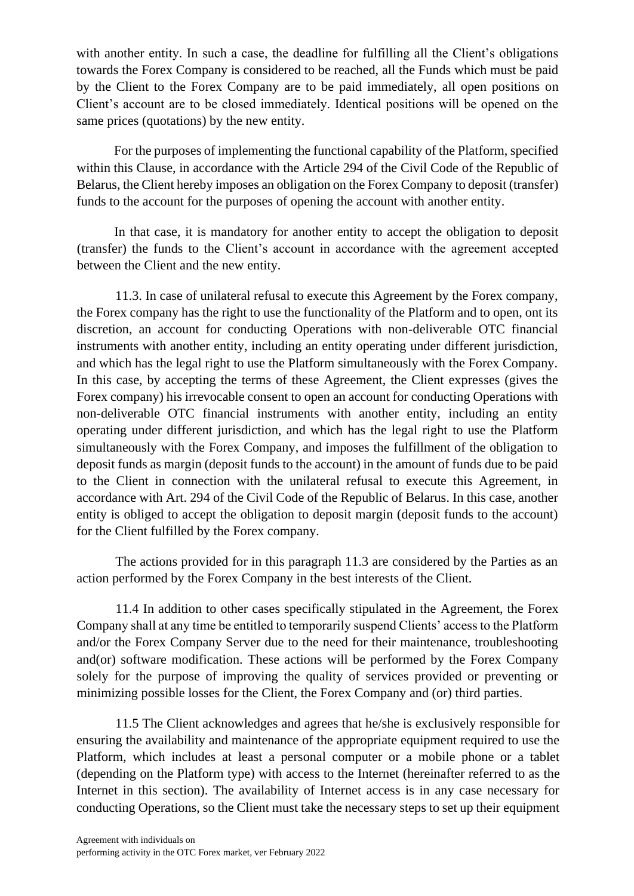with another entity. In such a case, the deadline for fulfilling all the Client's obligations towards the Forex Company is considered to be reached, all the Funds which must be paid by the Client to the Forex Company are to be paid immediately, all open positions on Client's account are to be closed immediately. Identical positions will be opened on the same prices (quotations) by the new entity.

For the purposes of implementing the functional capability of the Platform, specified within this Clause, in accordance with the Article 294 of the Civil Code of the Republic of Belarus, the Client hereby imposes an obligation on the Forex Company to deposit (transfer) funds to the account for the purposes of opening the account with another entity.

In that case, it is mandatory for another entity to accept the obligation to deposit (transfer) the funds to the Client's account in accordance with the agreement accepted between the Client and the new entity.

11.3. In case of unilateral refusal to execute this Agreement by the Forex company, the Forex company has the right to use the functionality of the Platform and to open, ont its discretion, an account for conducting Operations with non-deliverable OTC financial instruments with another entity, including an entity operating under different jurisdiction, and which has the legal right to use the Platform simultaneously with the Forex Company. In this case, by accepting the terms of these Agreement, the Client expresses (gives the Forex company) his irrevocable consent to open an account for conducting Operations with non-deliverable OTC financial instruments with another entity, including an entity operating under different jurisdiction, and which has the legal right to use the Platform simultaneously with the Forex Company, and imposes the fulfillment of the obligation to deposit funds as margin (deposit funds to the account) in the amount of funds due to be paid to the Client in connection with the unilateral refusal to execute this Agreement, in accordance with Art. 294 of the Civil Code of the Republic of Belarus. In this case, another entity is obliged to accept the obligation to deposit margin (deposit funds to the account) for the Client fulfilled by the Forex company.

The actions provided for in this paragraph 11.3 are considered by the Parties as an action performed by the Forex Company in the best interests of the Client.

11.4 In addition to other cases specifically stipulated in the Agreement, the Forex Company shall at any time be entitled to temporarily suspend Clients' access to the Platform and/or the Forex Company Server due to the need for their maintenance, troubleshooting and(or) software modification. These actions will be performed by the Forex Company solely for the purpose of improving the quality of services provided or preventing or minimizing possible losses for the Client, the Forex Company and (or) third parties.

11.5 The Client acknowledges and agrees that he/she is exclusively responsible for ensuring the availability and maintenance of the appropriate equipment required to use the Platform, which includes at least a personal computer or a mobile phone or a tablet (depending on the Platform type) with access to the Internet (hereinafter referred to as the Internet in this section). The availability of Internet access is in any case necessary for conducting Operations, so the Client must take the necessary steps to set up their equipment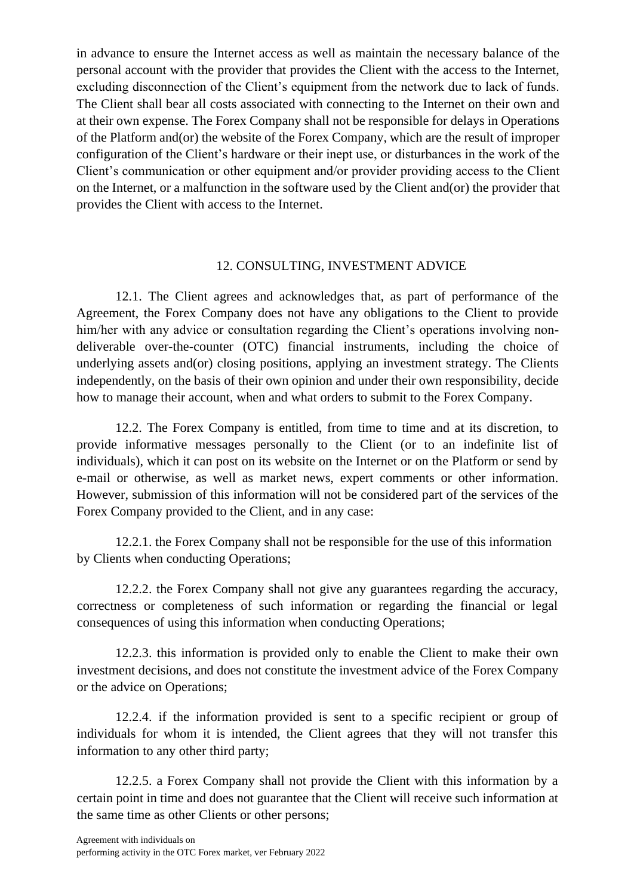in advance to ensure the Internet access as well as maintain the necessary balance of the personal account with the provider that provides the Client with the access to the Internet, excluding disconnection of the Client's equipment from the network due to lack of funds. The Client shall bear all costs associated with connecting to the Internet on their own and at their own expense. The Forex Company shall not be responsible for delays in Operations of the Platform and(or) the website of the Forex Company, which are the result of improper configuration of the Client's hardware or their inept use, or disturbances in the work of the Client's communication or other equipment and/or provider providing access to the Client on the Internet, or a malfunction in the software used by the Client and(or) the provider that provides the Client with access to the Internet.

### 12. CONSULTING, INVESTMENT ADVICE

12.1. The Client agrees and acknowledges that, as part of performance of the Agreement, the Forex Company does not have any obligations to the Client to provide him/her with any advice or consultation regarding the Client's operations involving nondeliverable over-the-counter (OTC) financial instruments, including the choice of underlying assets and(or) closing positions, applying an investment strategy. The Clients independently, on the basis of their own opinion and under their own responsibility, decide how to manage their account, when and what orders to submit to the Forex Company.

12.2. The Forex Company is entitled, from time to time and at its discretion, to provide informative messages personally to the Client (or to an indefinite list of individuals), which it can post on its website on the Internet or on the Platform or send by e-mail or otherwise, as well as market news, expert comments or other information. However, submission of this information will not be considered part of the services of the Forex Company provided to the Client, and in any case:

12.2.1. the Forex Company shall not be responsible for the use of this information by Clients when conducting Operations;

12.2.2. the Forex Company shall not give any guarantees regarding the accuracy, correctness or completeness of such information or regarding the financial or legal consequences of using this information when conducting Operations;

12.2.3. this information is provided only to enable the Client to make their own investment decisions, and does not constitute the investment advice of the Forex Company or the advice on Operations;

12.2.4. if the information provided is sent to a specific recipient or group of individuals for whom it is intended, the Client agrees that they will not transfer this information to any other third party;

12.2.5. a Forex Company shall not provide the Client with this information by a certain point in time and does not guarantee that the Client will receive such information at the same time as other Clients or other persons;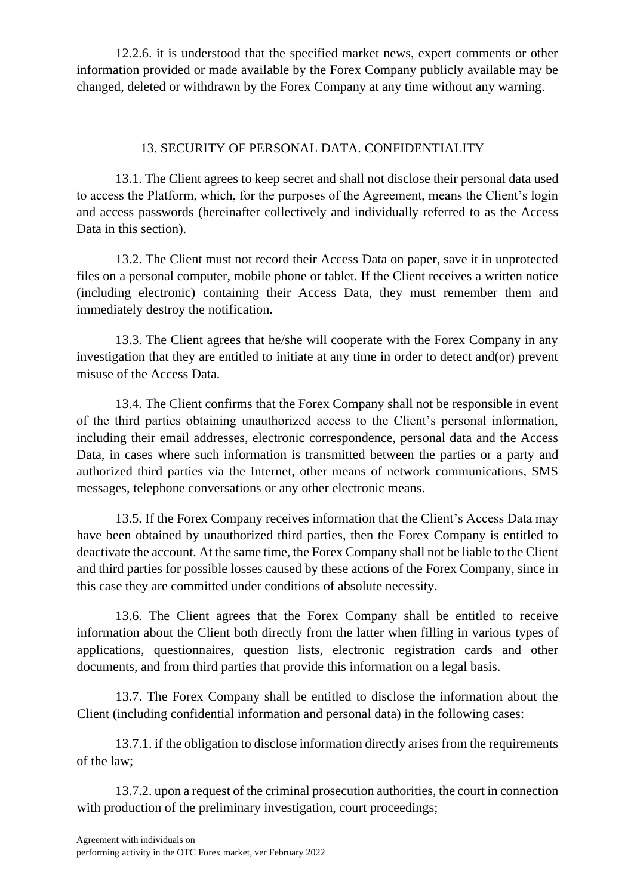12.2.6. it is understood that the specified market news, expert comments or other information provided or made available by the Forex Company publicly available may be changed, deleted or withdrawn by the Forex Company at any time without any warning.

### 13. SECURITY OF PERSONAL DATA. CONFIDENTIALITY

13.1. The Client agrees to keep secret and shall not disclose their personal data used to access the Platform, which, for the purposes of the Agreement, means the Client's login and access passwords (hereinafter collectively and individually referred to as the Access Data in this section).

13.2. The Client must not record their Access Data on paper, save it in unprotected files on a personal computer, mobile phone or tablet. If the Client receives a written notice (including electronic) containing their Access Data, they must remember them and immediately destroy the notification.

13.3. The Client agrees that he/she will cooperate with the Forex Company in any investigation that they are entitled to initiate at any time in order to detect and(or) prevent misuse of the Access Data.

13.4. The Client confirms that the Forex Company shall not be responsible in event of the third parties obtaining unauthorized access to the Client's personal information, including their email addresses, electronic correspondence, personal data and the Access Data, in cases where such information is transmitted between the parties or a party and authorized third parties via the Internet, other means of network communications, SMS messages, telephone conversations or any other electronic means.

13.5. If the Forex Company receives information that the Client's Access Data may have been obtained by unauthorized third parties, then the Forex Company is entitled to deactivate the account. At the same time, the Forex Company shall not be liable to the Client and third parties for possible losses caused by these actions of the Forex Company, since in this case they are committed under conditions of absolute necessity.

13.6. The Client agrees that the Forex Company shall be entitled to receive information about the Client both directly from the latter when filling in various types of applications, questionnaires, question lists, electronic registration cards and other documents, and from third parties that provide this information on a legal basis.

13.7. The Forex Company shall be entitled to disclose the information about the Client (including confidential information and personal data) in the following cases:

13.7.1. if the obligation to disclose information directly arises from the requirements of the law;

13.7.2. upon a request of the criminal prosecution authorities, the court in connection with production of the preliminary investigation, court proceedings;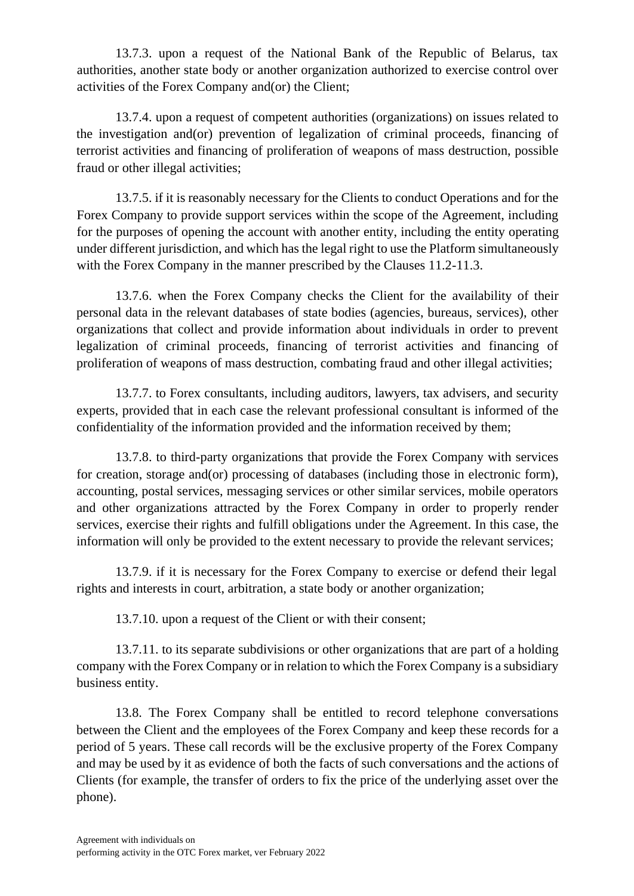13.7.3. upon a request of the National Bank of the Republic of Belarus, tax authorities, another state body or another organization authorized to exercise control over activities of the Forex Company and(or) the Client;

13.7.4. upon a request of competent authorities (organizations) on issues related to the investigation and(or) prevention of legalization of criminal proceeds, financing of terrorist activities and financing of proliferation of weapons of mass destruction, possible fraud or other illegal activities;

13.7.5. if it is reasonably necessary for the Clients to conduct Operations and for the Forex Company to provide support services within the scope of the Agreement, including for the purposes of opening the account with another entity, including the entity operating under different jurisdiction, and which has the legal right to use the Platform simultaneously with the Forex Company in the manner prescribed by the Clauses 11.2-11.3.

13.7.6. when the Forex Company checks the Client for the availability of their personal data in the relevant databases of state bodies (agencies, bureaus, services), other organizations that collect and provide information about individuals in order to prevent legalization of criminal proceeds, financing of terrorist activities and financing of proliferation of weapons of mass destruction, combating fraud and other illegal activities;

13.7.7. to Forex consultants, including auditors, lawyers, tax advisers, and security experts, provided that in each case the relevant professional consultant is informed of the confidentiality of the information provided and the information received by them;

13.7.8. to third-party organizations that provide the Forex Company with services for creation, storage and(or) processing of databases (including those in electronic form), accounting, postal services, messaging services or other similar services, mobile operators and other organizations attracted by the Forex Company in order to properly render services, exercise their rights and fulfill obligations under the Agreement. In this case, the information will only be provided to the extent necessary to provide the relevant services;

13.7.9. if it is necessary for the Forex Company to exercise or defend their legal rights and interests in court, arbitration, a state body or another organization;

13.7.10. upon a request of the Client or with their consent;

13.7.11. to its separate subdivisions or other organizations that are part of a holding company with the Forex Company or in relation to which the Forex Company is a subsidiary business entity.

13.8. The Forex Company shall be entitled to record telephone conversations between the Client and the employees of the Forex Company and keep these records for a period of 5 years. These call records will be the exclusive property of the Forex Company and may be used by it as evidence of both the facts of such conversations and the actions of Clients (for example, the transfer of orders to fix the price of the underlying asset over the phone).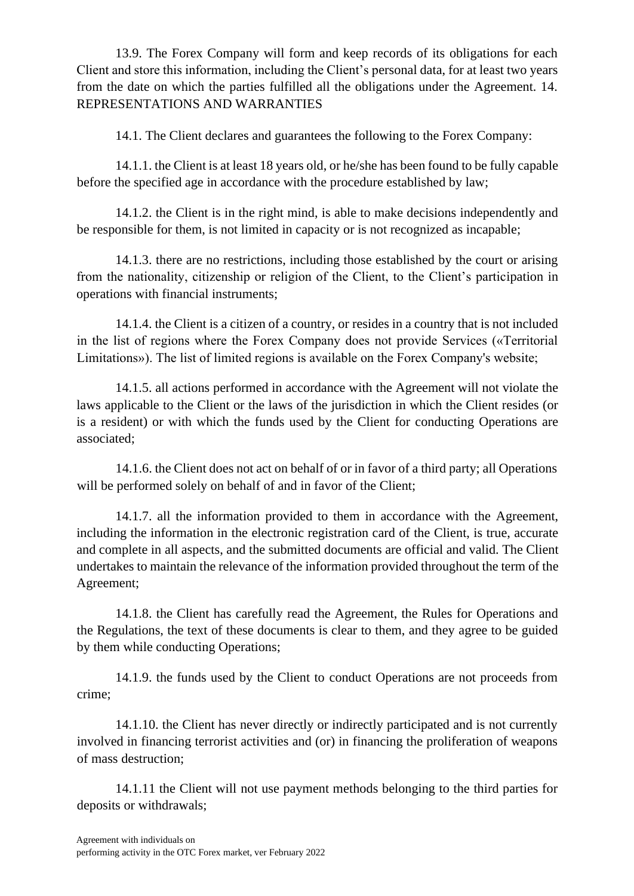13.9. The Forex Company will form and keep records of its obligations for each Client and store this information, including the Client's personal data, for at least two years from the date on which the parties fulfilled all the obligations under the Agreement. 14. REPRESENTATIONS AND WARRANTIES

14.1. The Client declares and guarantees the following to the Forex Company:

14.1.1. the Client is at least 18 years old, or he/she has been found to be fully capable before the specified age in accordance with the procedure established by law;

14.1.2. the Client is in the right mind, is able to make decisions independently and be responsible for them, is not limited in capacity or is not recognized as incapable;

14.1.3. there are no restrictions, including those established by the court or arising from the nationality, citizenship or religion of the Client, to the Client's participation in operations with financial instruments;

14.1.4. the Client is a citizen of a country, or resides in a country that is not included in the list of regions where the Forex Company does not provide Services («Territorial Limitations»). The list of limited regions is available on the Forex Company's website;

14.1.5. all actions performed in accordance with the Agreement will not violate the laws applicable to the Client or the laws of the jurisdiction in which the Client resides (or is a resident) or with which the funds used by the Client for conducting Operations are associated;

14.1.6. the Client does not act on behalf of or in favor of a third party; all Operations will be performed solely on behalf of and in favor of the Client;

14.1.7. all the information provided to them in accordance with the Agreement, including the information in the electronic registration card of the Client, is true, accurate and complete in all aspects, and the submitted documents are official and valid. The Client undertakes to maintain the relevance of the information provided throughout the term of the Agreement;

14.1.8. the Client has carefully read the Agreement, the Rules for Operations and the Regulations, the text of these documents is clear to them, and they agree to be guided by them while conducting Operations;

14.1.9. the funds used by the Client to conduct Operations are not proceeds from crime;

14.1.10. the Client has never directly or indirectly participated and is not currently involved in financing terrorist activities and (or) in financing the proliferation of weapons of mass destruction;

14.1.11 the Client will not use payment methods belonging to the third parties for deposits or withdrawals;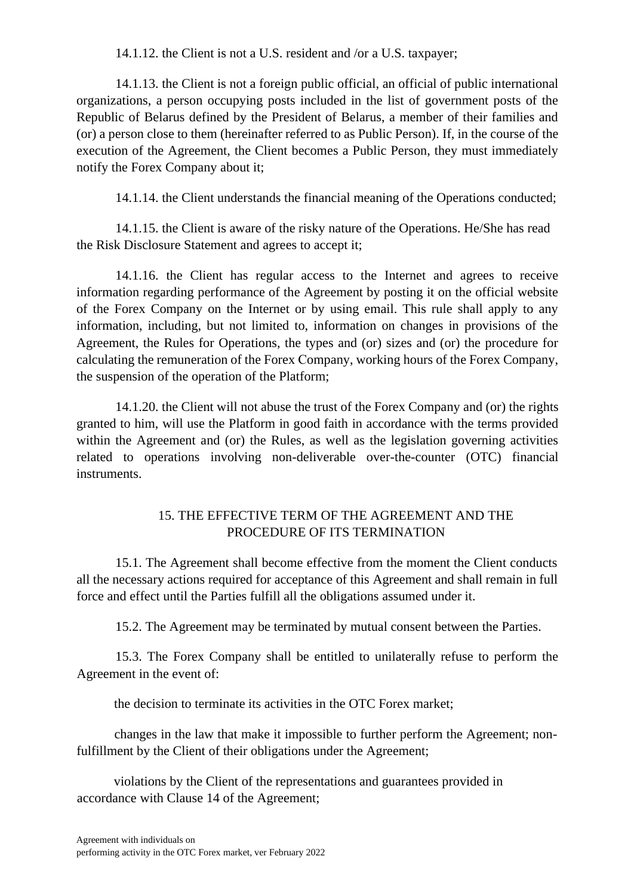14.1.12. the Client is not a U.S. resident and /or a U.S. taxpayer;

14.1.13. the Client is not a foreign public official, an official of public international organizations, a person occupying posts included in the list of government posts of the Republic of Belarus defined by the President of Belarus, a member of their families and (or) a person close to them (hereinafter referred to as Public Person). If, in the course of the execution of the Agreement, the Client becomes a Public Person, they must immediately notify the Forex Company about it;

14.1.14. the Client understands the financial meaning of the Operations conducted;

14.1.15. the Client is aware of the risky nature of the Operations. He/She has read the Risk Disclosure Statement and agrees to accept it;

14.1.16. the Client has regular access to the Internet and agrees to receive information regarding performance of the Agreement by posting it on the official website of the Forex Company on the Internet or by using email. This rule shall apply to any information, including, but not limited to, information on changes in provisions of the Agreement, the Rules for Operations, the types and (or) sizes and (or) the procedure for calculating the remuneration of the Forex Сompany, working hours of the Forex Company, the suspension of the operation of the Platform;

14.1.20. the Client will not abuse the trust of the Forex Company and (or) the rights granted to him, will use the Platform in good faith in accordance with the terms provided within the Agreement and (or) the Rules, as well as the legislation governing activities related to operations involving non-deliverable over-the-counter (OTC) financial instruments.

## 15. THE EFFECTIVE TERM OF THE AGREEMENT AND THE PROCEDURE OF ITS TERMINATION

15.1. The Agreement shall become effective from the moment the Client conducts all the necessary actions required for acceptance of this Agreement and shall remain in full force and effect until the Parties fulfill all the obligations assumed under it.

15.2. The Agreement may be terminated by mutual consent between the Parties.

15.3. The Forex Company shall be entitled to unilaterally refuse to perform the Agreement in the event of:

the decision to terminate its activities in the OTC Forex market;

changes in the law that make it impossible to further perform the Agreement; nonfulfillment by the Client of their obligations under the Agreement;

violations by the Client of the representations and guarantees provided in accordance with Clause 14 of the Agreement;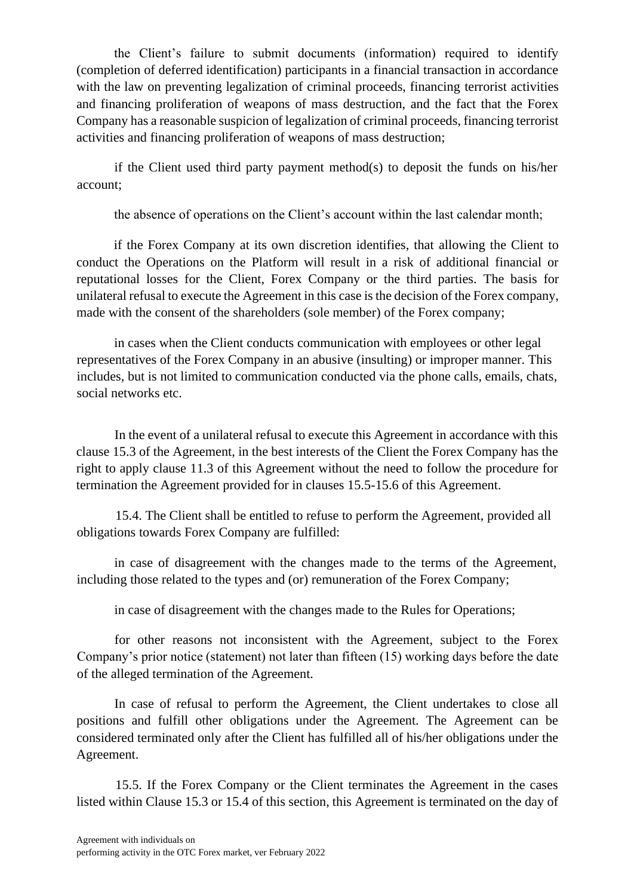the Client's failure to submit documents (information) required to identify (completion of deferred identification) participants in a financial transaction in accordance with the law on preventing legalization of criminal proceeds, financing terrorist activities and financing proliferation of weapons of mass destruction, and the fact that the Forex Company has a reasonable suspicion of legalization of criminal proceeds, financing terrorist activities and financing proliferation of weapons of mass destruction;

if the Client used third party payment method(s) to deposit the funds on his/her account;

the absence of operations on the Client's account within the last calendar month;

if the Forex Company at its own discretion identifies, that allowing the Client to conduct the Operations on the Platform will result in a risk of additional financial or reputational losses for the Client, Forex Company or the third parties. The basis for unilateral refusal to execute the Agreement in this case is the decision of the Forex company, made with the consent of the shareholders (sole member) of the Forex company;

in cases when the Client conducts communication with employees or other legal representatives of the Forex Company in an abusive (insulting) or improper manner. This includes, but is not limited to communication conducted via the phone calls, emails, chats, social networks etc.

In the event of a unilateral refusal to execute this Agreement in accordance with this clause 15.3 of the Agreement, in the best interests of the Client the Forex Company has the right to apply clause 11.3 of this Agreement without the need to follow the procedure for termination the Agreement provided for in clauses 15.5-15.6 of this Agreement.

15.4. The Client shall be entitled to refuse to perform the Agreement, provided all obligations towards Forex Company are fulfilled:

in case of disagreement with the changes made to the terms of the Agreement, including those related to the types and (or) remuneration of the Forex Company;

in case of disagreement with the changes made to the Rules for Operations;

for other reasons not inconsistent with the Agreement, subject to the Forex Company's prior notice (statement) not later than fifteen (15) working days before the date of the alleged termination of the Agreement.

In case of refusal to perform the Agreement, the Client undertakes to close all positions and fulfill other obligations under the Agreement. The Agreement can be considered terminated only after the Client has fulfilled all of his/her obligations under the Agreement.

15.5. If the Forex Company or the Client terminates the Agreement in the cases listed within Clause 15.3 or 15.4 of this section, this Agreement is terminated on the day of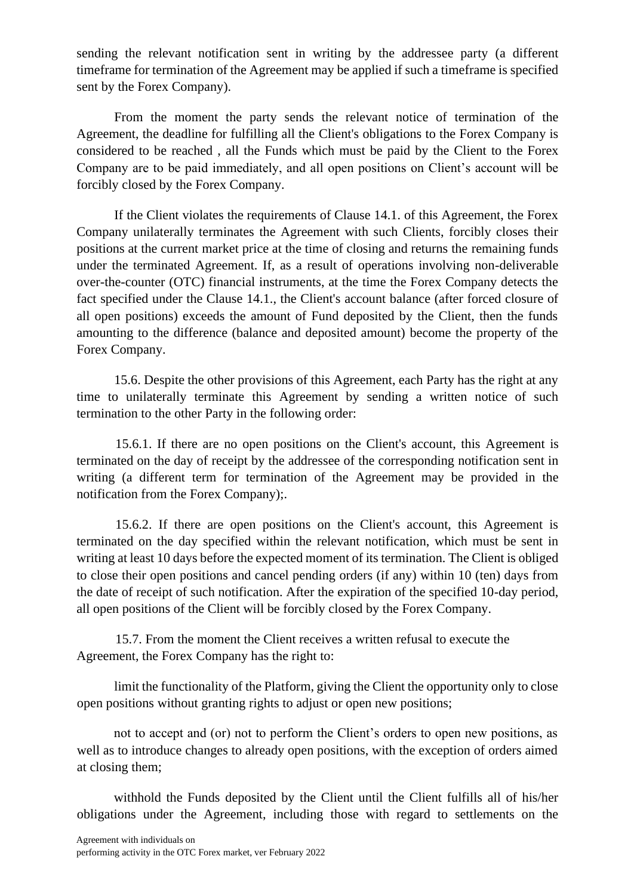sending the relevant notification sent in writing by the addressee party (a different timeframe for termination of the Agreement may be applied if such a timeframe is specified sent by the Forex Company).

From the moment the party sends the relevant notice of termination of the Agreement, the deadline for fulfilling all the Client's obligations to the Forex Company is considered to be reached , all the Funds which must be paid by the Client to the Forex Company are to be paid immediately, and all open positions on Client's account will be forcibly closed by the Forex Company.

If the Client violates the requirements of Clause 14.1. of this Agreement, the Forex Company unilaterally terminates the Agreement with such Clients, forcibly closes their positions at the current market price at the time of closing and returns the remaining funds under the terminated Agreement. If, as a result of operations involving non-deliverable over-the-counter (OTC) financial instruments, at the time the Forex Company detects the fact specified under the Clause 14.1., the Client's account balance (after forced closure of all open positions) exceeds the amount of Fund deposited by the Client, then the funds amounting to the difference (balance and deposited amount) become the property of the Forex Company.

15.6. Despite the other provisions of this Agreement, each Party has the right at any time to unilaterally terminate this Agreement by sending a written notice of such termination to the other Party in the following order:

15.6.1. If there are no open positions on the Client's account, this Agreement is terminated on the day of receipt by the addressee of the corresponding notification sent in writing (a different term for termination of the Agreement may be provided in the notification from the Forex Company);.

15.6.2. If there are open positions on the Client's account, this Agreement is terminated on the day specified within the relevant notification, which must be sent in writing at least 10 days before the expected moment of its termination. The Client is obliged to close their open positions and cancel pending orders (if any) within 10 (ten) days from the date of receipt of such notification. After the expiration of the specified 10-day period, all open positions of the Client will be forcibly closed by the Forex Company.

15.7. From the moment the Client receives a written refusal to execute the Agreement, the Forex Company has the right to:

limit the functionality of the Platform, giving the Client the opportunity only to close open positions without granting rights to adjust or open new positions;

not to accept and (or) not to perform the Client's orders to open new positions, as well as to introduce changes to already open positions, with the exception of orders aimed at closing them;

withhold the Funds deposited by the Client until the Client fulfills all of his/her obligations under the Agreement, including those with regard to settlements on the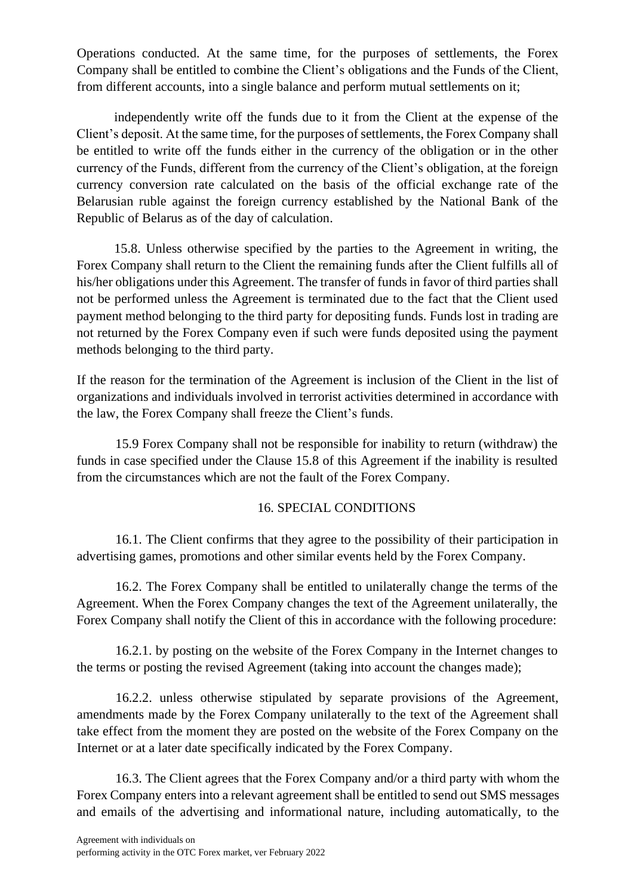Operations conducted. At the same time, for the purposes of settlements, the Forex Company shall be entitled to combine the Client's obligations and the Funds of the Client, from different accounts, into a single balance and perform mutual settlements on it;

independently write off the funds due to it from the Client at the expense of the Client's deposit. At the same time, for the purposes of settlements, the Forex Company shall be entitled to write off the funds either in the currency of the obligation or in the other currency of the Funds, different from the currency of the Client's obligation, at the foreign currency conversion rate calculated on the basis of the official exchange rate of the Belarusian ruble against the foreign currency established by the National Bank of the Republic of Belarus as of the day of calculation.

15.8. Unless otherwise specified by the parties to the Agreement in writing, the Forex Company shall return to the Client the remaining funds after the Client fulfills all of his/her obligations under this Agreement. The transfer of funds in favor of third parties shall not be performed unless the Agreement is terminated due to the fact that the Client used payment method belonging to the third party for depositing funds. Funds lost in trading are not returned by the Forex Company even if such were funds deposited using the payment methods belonging to the third party.

If the reason for the termination of the Agreement is inclusion of the Client in the list of organizations and individuals involved in terrorist activities determined in accordance with the law, the Forex Company shall freeze the Client's funds.

15.9 Forex Company shall not be responsible for inability to return (withdraw) the funds in case specified under the Clause 15.8 of this Agreement if the inability is resulted from the circumstances which are not the fault of the Forex Company.

## 16. SPECIAL CONDITIONS

16.1. The Client confirms that they agree to the possibility of their participation in advertising games, promotions and other similar events held by the Forex Company.

16.2. The Forex Company shall be entitled to unilaterally change the terms of the Agreement. When the Forex Company changes the text of the Agreement unilaterally, the Forex Company shall notify the Client of this in accordance with the following procedure:

16.2.1. by posting on the website of the Forex Company in the Internet changes to the terms or posting the revised Agreement (taking into account the changes made);

16.2.2. unless otherwise stipulated by separate provisions of the Agreement, amendments made by the Forex Company unilaterally to the text of the Agreement shall take effect from the moment they are posted on the website of the Forex Company on the Internet or at a later date specifically indicated by the Forex Company.

16.3. The Client agrees that the Forex Company and/or a third party with whom the Forex Company enters into a relevant agreement shall be entitled to send out SMS messages and emails of the advertising and informational nature, including automatically, to the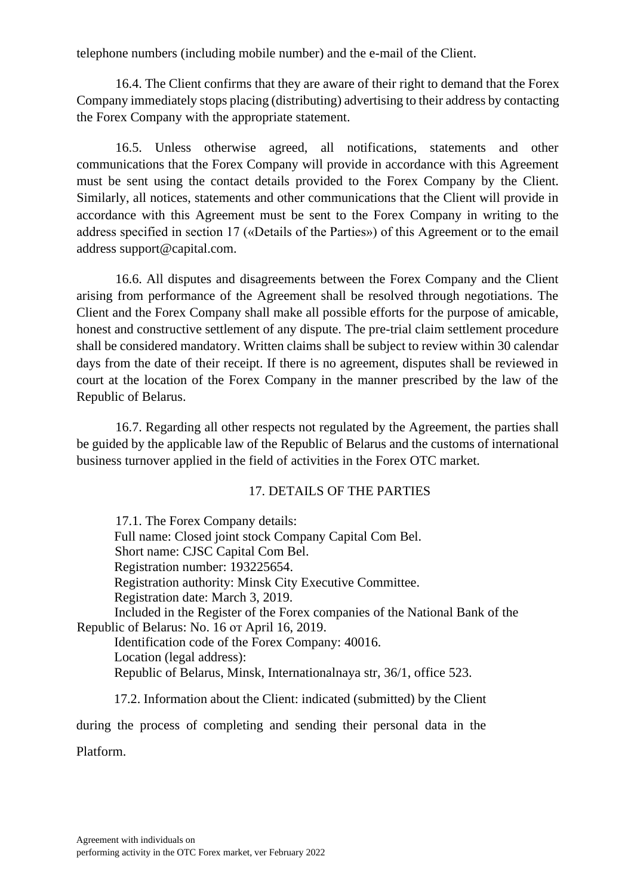telephone numbers (including mobile number) and the e-mail of the Client.

16.4. The Client confirms that they are aware of their right to demand that the Forex Company immediately stops placing (distributing) advertising to their address by contacting the Forex Company with the appropriate statement.

16.5. Unless otherwise agreed, all notifications, statements and other communications that the Forex Company will provide in accordance with this Agreement must be sent using the contact details provided to the Forex Company by the Client. Similarly, all notices, statements and other communications that the Client will provide in accordance with this Agreement must be sent to the Forex Company in writing to the address specified in section 17 («Details of the Parties») of this Agreement or to the email address support@capital.com.

16.6. All disputes and disagreements between the Forex Company and the Client arising from performance of the Agreement shall be resolved through negotiations. The Client and the Forex Company shall make all possible efforts for the purpose of amicable, honest and constructive settlement of any dispute. The pre-trial claim settlement procedure shall be considered mandatory. Written claims shall be subject to review within 30 calendar days from the date of their receipt. If there is no agreement, disputes shall be reviewed in court at the location of the Forex Company in the manner prescribed by the law of the Republic of Belarus.

16.7. Regarding all other respects not regulated by the Agreement, the parties shall be guided by the applicable law of the Republic of Belarus and the customs of international business turnover applied in the field of activities in the Forex OTC market.

### 17. DETAILS OF THE PARTIES

17.1. The Forex Company details: Full name: Closed joint stock Company Capital Com Bel. Short name: CJSC Capital Com Bel. Registration number: 193225654. Registration authority: Minsk City Executive Committee. Registration date: March 3, 2019. Included in the Register of the Forex companies of the National Bank of the Republic of Belarus: No. 16 от April 16, 2019. Identification code of the Forex Company: 40016. Location (legal address): Republic of Belarus, Minsk, Internationalnaya str, 36/1, office 523. 17.2. Information about the Client: indicated (submitted) by the Client

during the process of completing and sending their personal data in the Platform.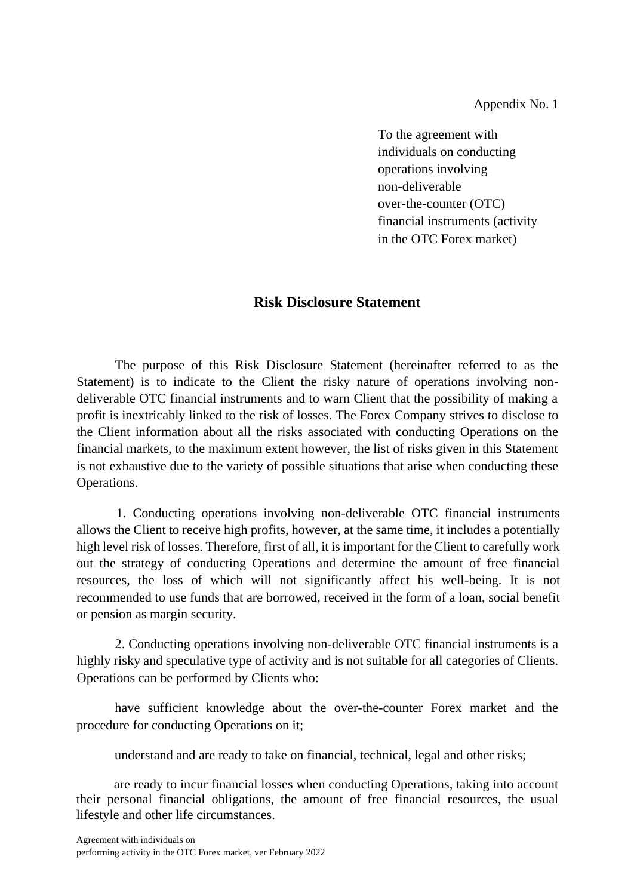Appendix No. 1

To the agreement with individuals on conducting operations involving non-deliverable over-the-counter (OTC) financial instruments (activity in the OTC Forex market)

## **Risk Disclosure Statement**

The purpose of this Risk Disclosure Statement (hereinafter referred to as the Statement) is to indicate to the Client the risky nature of operations involving nondeliverable OTC financial instruments and to warn Client that the possibility of making a profit is inextricably linked to the risk of losses. The Forex Company strives to disclose to the Client information about all the risks associated with conducting Operations on the financial markets, to the maximum extent however, the list of risks given in this Statement is not exhaustive due to the variety of possible situations that arise when conducting these Operations.

1. Conducting operations involving non-deliverable OTC financial instruments allows the Client to receive high profits, however, at the same time, it includes a potentially high level risk of losses. Therefore, first of all, it is important for the Client to carefully work out the strategy of conducting Operations and determine the amount of free financial resources, the loss of which will not significantly affect his well-being. It is not recommended to use funds that are borrowed, received in the form of a loan, social benefit or pension as margin security.

2. Conducting operations involving non-deliverable OTC financial instruments is a highly risky and speculative type of activity and is not suitable for all categories of Clients. Operations can be performed by Clients who:

have sufficient knowledge about the over-the-counter Forex market and the procedure for conducting Operations on it;

understand and are ready to take on financial, technical, legal and other risks;

are ready to incur financial losses when conducting Operations, taking into account their personal financial obligations, the amount of free financial resources, the usual lifestyle and other life circumstances.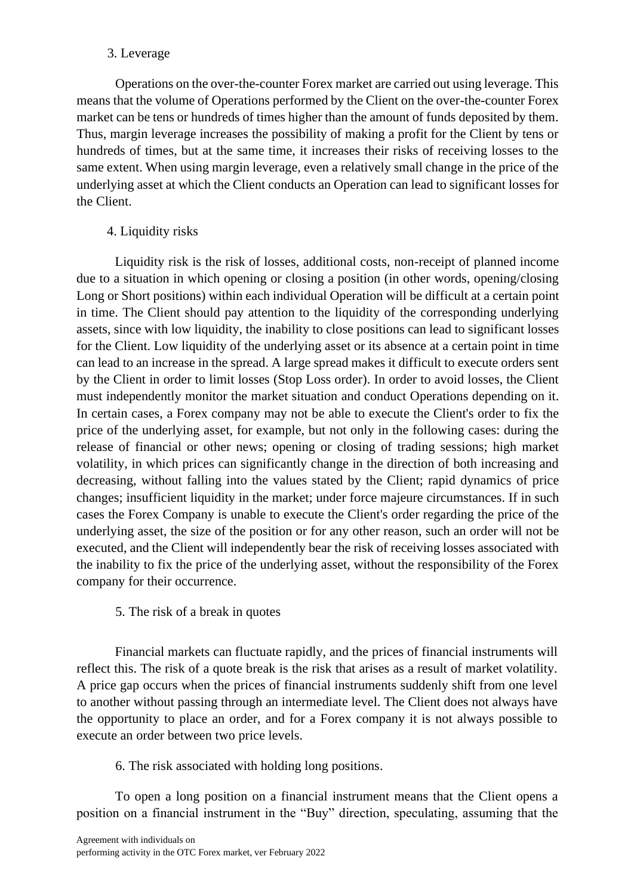#### 3. Leverage

Operations on the over-the-counter Forex market are carried out using leverage. This means that the volume of Operations performed by the Client on the over-the-counter Forex market can be tens or hundreds of times higher than the amount of funds deposited by them. Thus, margin leverage increases the possibility of making a profit for the Client by tens or hundreds of times, but at the same time, it increases their risks of receiving losses to the same extent. When using margin leverage, even a relatively small change in the price of the underlying asset at which the Client conducts an Operation can lead to significant losses for the Client.

### 4. Liquidity risks

Liquidity risk is the risk of losses, additional costs, non-receipt of planned income due to a situation in which opening or closing a position (in other words, opening/closing Long or Short positions) within each individual Operation will be difficult at a certain point in time. The Client should pay attention to the liquidity of the corresponding underlying assets, since with low liquidity, the inability to close positions can lead to significant losses for the Client. Low liquidity of the underlying asset or its absence at a certain point in time can lead to an increase in the spread. A large spread makes it difficult to execute orders sent by the Client in order to limit losses (Stop Loss order). In order to avoid losses, the Client must independently monitor the market situation and conduct Operations depending on it. In certain cases, a Forex company may not be able to execute the Client's order to fix the price of the underlying asset, for example, but not only in the following cases: during the release of financial or other news; opening or closing of trading sessions; high market volatility, in which prices can significantly change in the direction of both increasing and decreasing, without falling into the values stated by the Client; rapid dynamics of price changes; insufficient liquidity in the market; under force majeure circumstances. If in such cases the Forex Company is unable to execute the Client's order regarding the price of the underlying asset, the size of the position or for any other reason, such an order will not be executed, and the Client will independently bear the risk of receiving losses associated with the inability to fix the price of the underlying asset, without the responsibility of the Forex company for their occurrence.

## 5. The risk of a break in quotes

Financial markets can fluctuate rapidly, and the prices of financial instruments will reflect this. The risk of a quote break is the risk that arises as a result of market volatility. A price gap occurs when the prices of financial instruments suddenly shift from one level to another without passing through an intermediate level. The Client does not always have the opportunity to place an order, and for a Forex company it is not always possible to execute an order between two price levels.

6. The risk associated with holding long positions.

To open a long position on a financial instrument means that the Client opens a position on a financial instrument in the "Buy" direction, speculating, assuming that the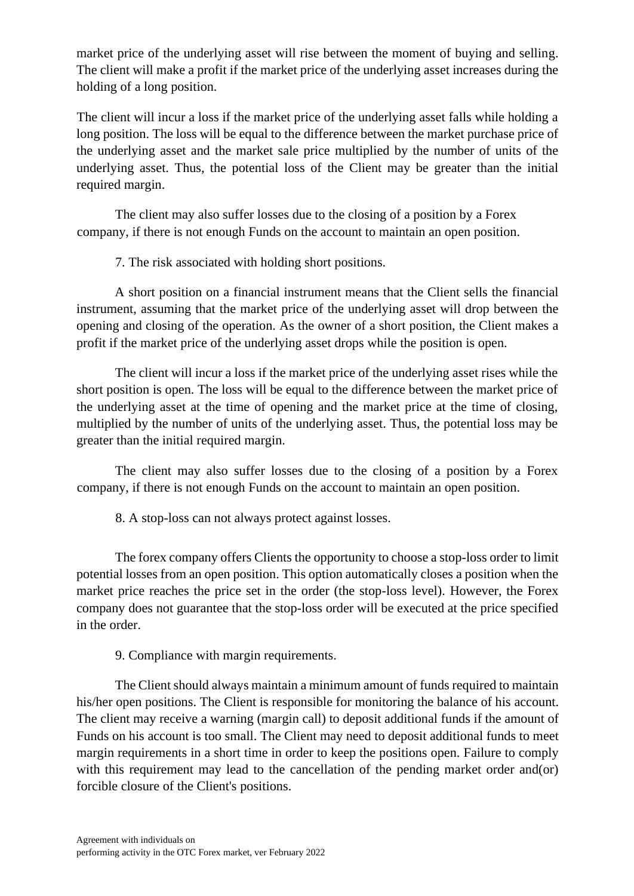market price of the underlying asset will rise between the moment of buying and selling. The client will make a profit if the market price of the underlying asset increases during the holding of a long position.

The client will incur a loss if the market price of the underlying asset falls while holding a long position. The loss will be equal to the difference between the market purchase price of the underlying asset and the market sale price multiplied by the number of units of the underlying asset. Thus, the potential loss of the Client may be greater than the initial required margin.

The client may also suffer losses due to the closing of a position by a Forex company, if there is not enough Funds on the account to maintain an open position.

7. The risk associated with holding short positions.

A short position on a financial instrument means that the Client sells the financial instrument, assuming that the market price of the underlying asset will drop between the opening and closing of the operation. As the owner of a short position, the Client makes a profit if the market price of the underlying asset drops while the position is open.

The client will incur a loss if the market price of the underlying asset rises while the short position is open. The loss will be equal to the difference between the market price of the underlying asset at the time of opening and the market price at the time of closing, multiplied by the number of units of the underlying asset. Thus, the potential loss may be greater than the initial required margin.

The client may also suffer losses due to the closing of a position by a Forex company, if there is not enough Funds on the account to maintain an open position.

8. A stop-loss can not always protect against losses.

The forex company offers Clients the opportunity to choose a stop-loss order to limit potential losses from an open position. This option automatically closes a position when the market price reaches the price set in the order (the stop-loss level). However, the Forex company does not guarantee that the stop-loss order will be executed at the price specified in the order.

9. Compliance with margin requirements.

The Client should always maintain a minimum amount of funds required to maintain his/her open positions. The Client is responsible for monitoring the balance of his account. The client may receive a warning (margin call) to deposit additional funds if the amount of Funds on his account is too small. The Client may need to deposit additional funds to meet margin requirements in a short time in order to keep the positions open. Failure to comply with this requirement may lead to the cancellation of the pending market order and(or) forcible closure of the Client's positions.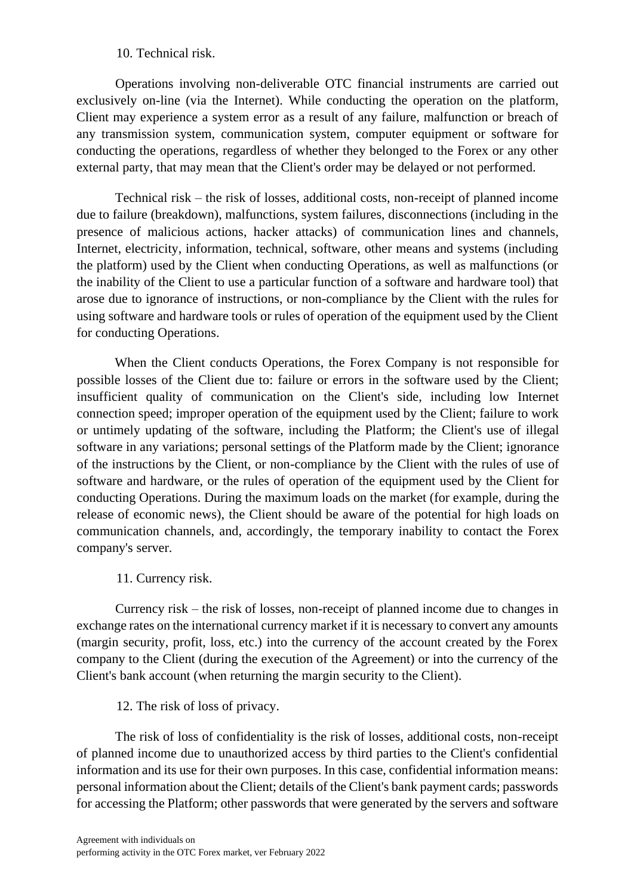#### 10. Technical risk.

Operations involving non-deliverable OTC financial instruments are carried out exclusively on-line (via the Internet). While conducting the operation on the platform, Client may experience a system error as a result of any failure, malfunction or breach of any transmission system, communication system, computer equipment or software for conducting the operations, regardless of whether they belonged to the Forex or any other external party, that may mean that the Client's order may be delayed or not performed.

Technical risk – the risk of losses, additional costs, non-receipt of planned income due to failure (breakdown), malfunctions, system failures, disconnections (including in the presence of malicious actions, hacker attacks) of communication lines and channels, Internet, electricity, information, technical, software, other means and systems (including the platform) used by the Client when conducting Operations, as well as malfunctions (or the inability of the Client to use a particular function of a software and hardware tool) that arose due to ignorance of instructions, or non-compliance by the Client with the rules for using software and hardware tools or rules of operation of the equipment used by the Client for conducting Operations.

When the Client conducts Operations, the Forex Company is not responsible for possible losses of the Client due to: failure or errors in the software used by the Client; insufficient quality of communication on the Client's side, including low Internet connection speed; improper operation of the equipment used by the Client; failure to work or untimely updating of the software, including the Platform; the Client's use of illegal software in any variations; personal settings of the Platform made by the Client; ignorance of the instructions by the Client, or non-compliance by the Client with the rules of use of software and hardware, or the rules of operation of the equipment used by the Client for conducting Operations. During the maximum loads on the market (for example, during the release of economic news), the Client should be aware of the potential for high loads on communication channels, and, accordingly, the temporary inability to contact the Forex company's server.

### 11. Currency risk.

Currency risk – the risk of losses, non-receipt of planned income due to changes in exchange rates on the international currency market if it is necessary to convert any amounts (margin security, profit, loss, etc.) into the currency of the account created by the Forex company to the Client (during the execution of the Agreement) or into the currency of the Client's bank account (when returning the margin security to the Client).

12. The risk of loss of privacy.

The risk of loss of confidentiality is the risk of losses, additional costs, non-receipt of planned income due to unauthorized access by third parties to the Client's confidential information and its use for their own purposes. In this case, confidential information means: personal information about the Client; details of the Client's bank payment cards; passwords for accessing the Platform; other passwords that were generated by the servers and software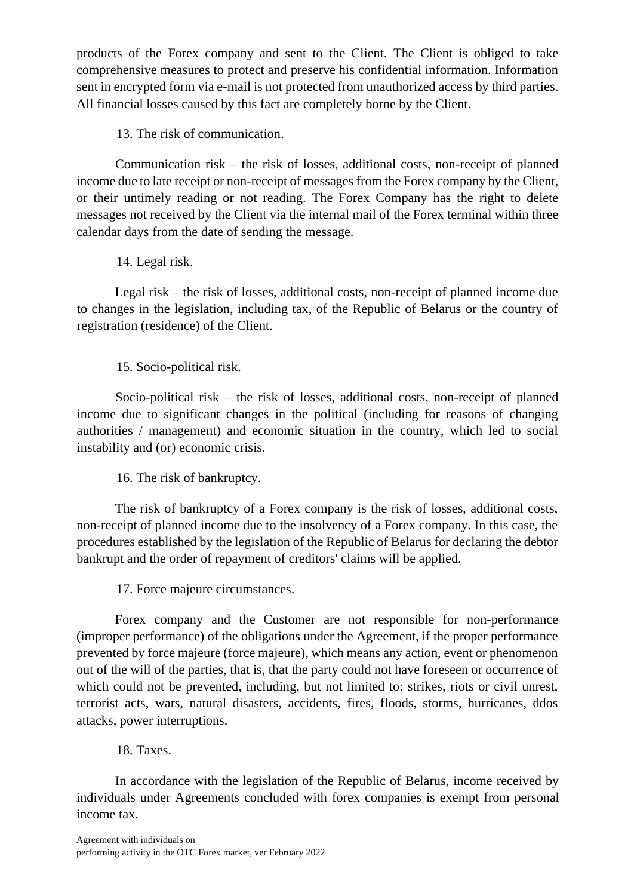products of the Forex company and sent to the Client. The Client is obliged to take comprehensive measures to protect and preserve his confidential information. Information sent in encrypted form via e-mail is not protected from unauthorized access by third parties. All financial losses caused by this fact are completely borne by the Client.

13. The risk of communication.

Communication risk – the risk of losses, additional costs, non-receipt of planned income due to late receipt or non-receipt of messages from the Forex company by the Client, or their untimely reading or not reading. The Forex Company has the right to delete messages not received by the Client via the internal mail of the Forex terminal within three calendar days from the date of sending the message.

14. Legal risk.

Legal risk – the risk of losses, additional costs, non-receipt of planned income due to changes in the legislation, including tax, of the Republic of Belarus or the country of registration (residence) of the Client.

15. Socio-political risk.

Socio-political risk – the risk of losses, additional costs, non-receipt of planned income due to significant changes in the political (including for reasons of changing authorities / management) and economic situation in the country, which led to social instability and (or) economic crisis.

16. The risk of bankruptcy.

The risk of bankruptcy of a Forex company is the risk of losses, additional costs, non-receipt of planned income due to the insolvency of a Forex company. In this case, the procedures established by the legislation of the Republic of Belarus for declaring the debtor bankrupt and the order of repayment of creditors' claims will be applied.

17. Force majeure circumstances.

Forex company and the Customer are not responsible for non-performance (improper performance) of the obligations under the Agreement, if the proper performance prevented by force majeure (force majeure), which means any action, event or phenomenon out of the will of the parties, that is, that the party could not have foreseen or occurrence of which could not be prevented, including, but not limited to: strikes, riots or civil unrest, terrorist acts, wars, natural disasters, accidents, fires, floods, storms, hurricanes, ddos attacks, power interruptions.

# 18. Taxes.

In accordance with the legislation of the Republic of Belarus, income received by individuals under Agreements concluded with forex companies is exempt from personal income tax.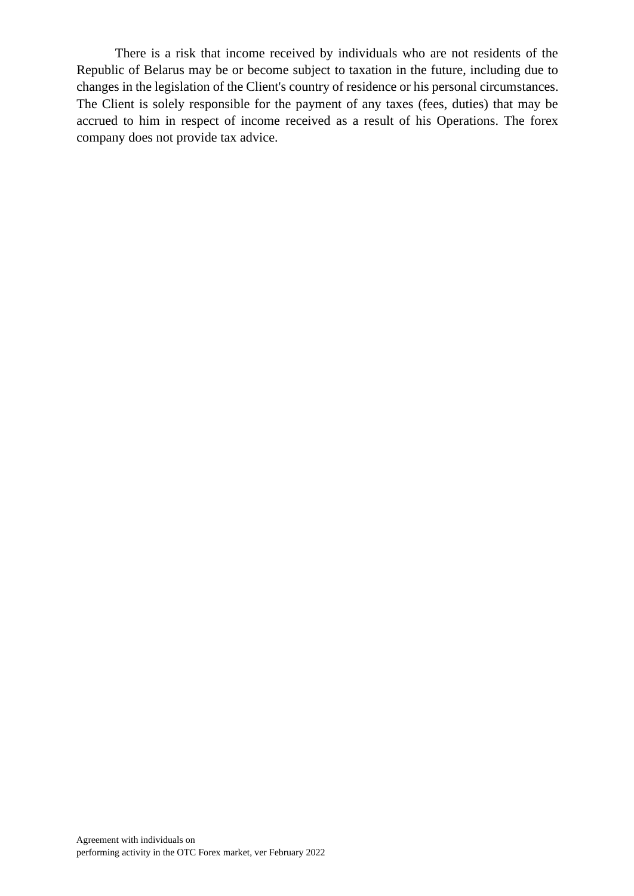There is a risk that income received by individuals who are not residents of the Republic of Belarus may be or become subject to taxation in the future, including due to changes in the legislation of the Client's country of residence or his personal circumstances. The Client is solely responsible for the payment of any taxes (fees, duties) that may be accrued to him in respect of income received as a result of his Operations. The forex company does not provide tax advice.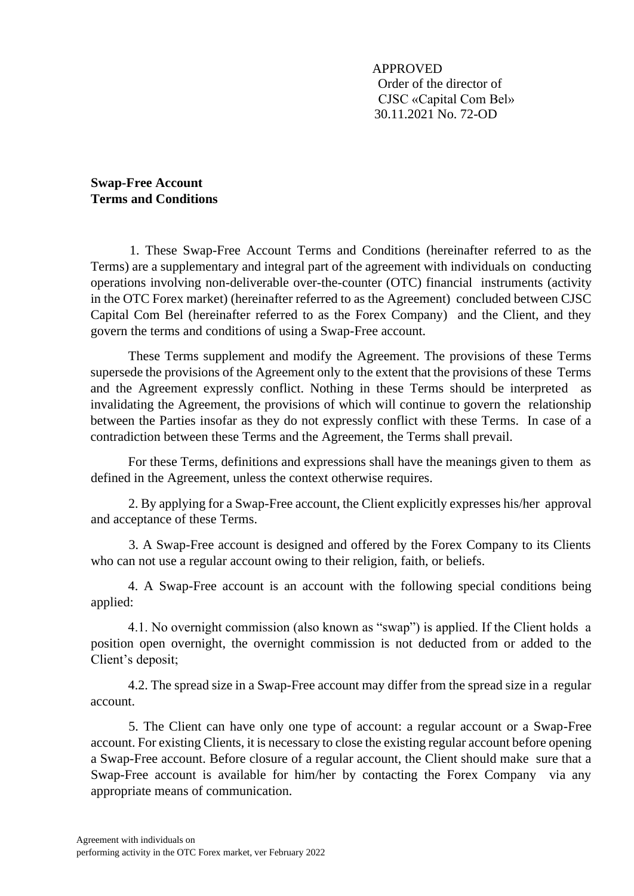APPROVED Order of the director of CJSC «Capital Com Bel» 30.11.2021 No. 72-OD

**Swap-Free Account Terms and Conditions** 

1. These Swap-Free Account Terms and Conditions (hereinafter referred to as the Terms) are a supplementary and integral part of the agreement with individuals on conducting operations involving non-deliverable over-the-counter (OTC) financial instruments (activity in the OTC Forex market) (hereinafter referred to as the Agreement) concluded between CJSC Capital Com Bel (hereinafter referred to as the Forex Company) and the Client, and they govern the terms and conditions of using a Swap-Free account.

These Terms supplement and modify the Agreement. The provisions of these Terms supersede the provisions of the Agreement only to the extent that the provisions of these Terms and the Agreement expressly conflict. Nothing in these Terms should be interpreted as invalidating the Agreement, the provisions of which will continue to govern the relationship between the Parties insofar as they do not expressly conflict with these Terms. In case of a contradiction between these Terms and the Agreement, the Terms shall prevail.

For these Terms, definitions and expressions shall have the meanings given to them as defined in the Agreement, unless the context otherwise requires.

2. By applying for a Swap-Free account, the Client explicitly expresses his/her approval and acceptance of these Terms.

3. A Swap-Free account is designed and offered by the Forex Company to its Clients who can not use a regular account owing to their religion, faith, or beliefs.

4. A Swap-Free account is an account with the following special conditions being applied:

4.1. No overnight commission (also known as "swap") is applied. If the Client holds a position open overnight, the overnight commission is not deducted from or added to the Client's deposit;

4.2. The spread size in a Swap-Free account may differ from the spread size in a regular account.

5. The Client can have only one type of account: a regular account or a Swap-Free account. For existing Clients, it is necessary to close the existing regular account before opening a Swap-Free account. Before closure of a regular account, the Client should make sure that a Swap-Free account is available for him/her by contacting the Forex Company via any appropriate means of communication.